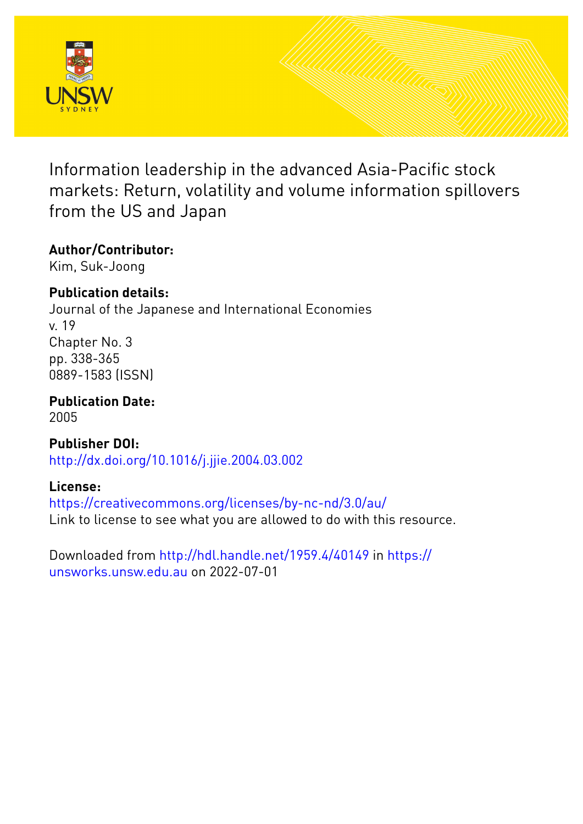

Information leadership in the advanced Asia-Pacific stock markets: Return, volatility and volume information spillovers from the US and Japan

# **Author/Contributor:**

Kim, Suk-Joong

## **Publication details:**

Journal of the Japanese and International Economies v. 19 Chapter No. 3 pp. 338-365 0889-1583 (ISSN)

**Publication Date:** 2005

**Publisher DOI:** [http://dx.doi.org/10.1016/j.jjie.2004.03.002](http://dx.doi.org/http://dx.doi.org/10.1016/j.jjie.2004.03.002)

## **License:**

<https://creativecommons.org/licenses/by-nc-nd/3.0/au/> Link to license to see what you are allowed to do with this resource.

Downloaded from <http://hdl.handle.net/1959.4/40149> in [https://](https://unsworks.unsw.edu.au) [unsworks.unsw.edu.au](https://unsworks.unsw.edu.au) on 2022-07-01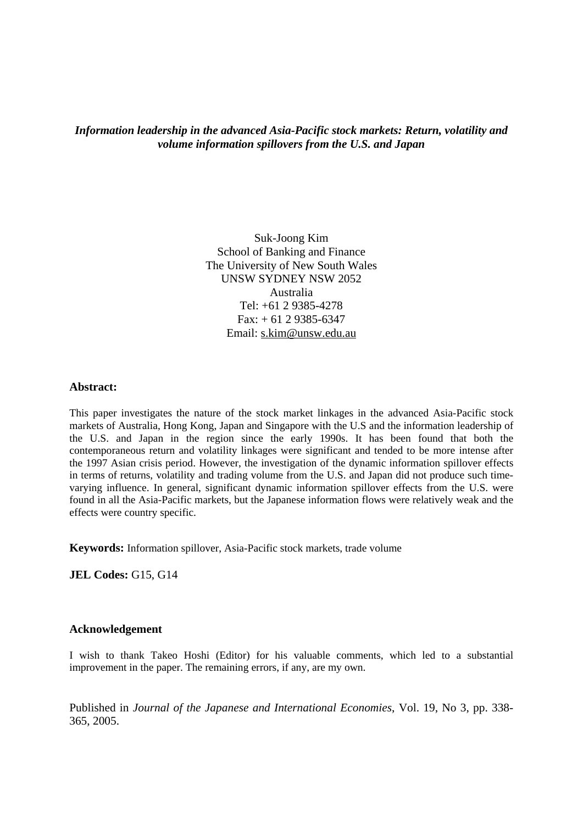*Information leadership in the advanced Asia-Pacific stock markets: Return, volatility and volume information spillovers from the U.S. and Japan* 

> Suk-Joong Kim School of Banking and Finance The University of New South Wales UNSW SYDNEY NSW 2052 Australia Tel: +61 2 9385-4278 Fax: + 61 2 9385-6347 Email: s.kim@unsw.edu.au

#### **Abstract:**

This paper investigates the nature of the stock market linkages in the advanced Asia-Pacific stock markets of Australia, Hong Kong, Japan and Singapore with the U.S and the information leadership of the U.S. and Japan in the region since the early 1990s. It has been found that both the contemporaneous return and volatility linkages were significant and tended to be more intense after the 1997 Asian crisis period. However, the investigation of the dynamic information spillover effects in terms of returns, volatility and trading volume from the U.S. and Japan did not produce such timevarying influence. In general, significant dynamic information spillover effects from the U.S. were found in all the Asia-Pacific markets, but the Japanese information flows were relatively weak and the effects were country specific.

**Keywords:** Information spillover, Asia-Pacific stock markets, trade volume

**JEL Codes:** G15, G14

#### **Acknowledgement**

I wish to thank Takeo Hoshi (Editor) for his valuable comments, which led to a substantial improvement in the paper. The remaining errors, if any, are my own.

Published in *Journal of the Japanese and International Economies*, Vol. 19, No 3, pp. 338- 365, 2005.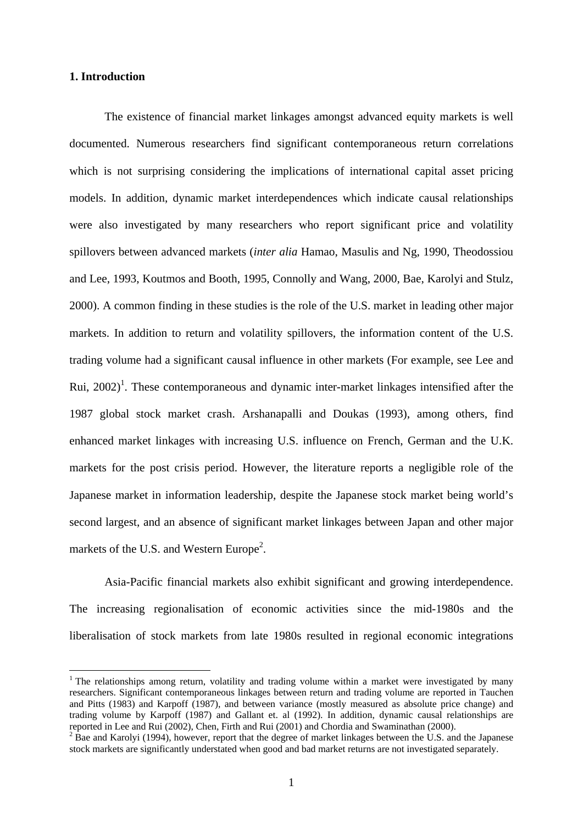### **1. Introduction**

1

The existence of financial market linkages amongst advanced equity markets is well documented. Numerous researchers find significant contemporaneous return correlations which is not surprising considering the implications of international capital asset pricing models. In addition, dynamic market interdependences which indicate causal relationships were also investigated by many researchers who report significant price and volatility spillovers between advanced markets (*inter alia* Hamao, Masulis and Ng, 1990, Theodossiou and Lee, 1993, Koutmos and Booth, 1995, Connolly and Wang, 2000, Bae, Karolyi and Stulz, 2000). A common finding in these studies is the role of the U.S. market in leading other major markets. In addition to return and volatility spillovers, the information content of the U.S. trading volume had a significant causal influence in other markets (For example, see Lee and Rui,  $2002$ <sup>1</sup>. These contemporaneous and dynamic inter-market linkages intensified after the 1987 global stock market crash. Arshanapalli and Doukas (1993), among others, find enhanced market linkages with increasing U.S. influence on French, German and the U.K. markets for the post crisis period. However, the literature reports a negligible role of the Japanese market in information leadership, despite the Japanese stock market being world's second largest, and an absence of significant market linkages between Japan and other major markets of the U.S. and Western Europe<sup>2</sup>.

Asia-Pacific financial markets also exhibit significant and growing interdependence. The increasing regionalisation of economic activities since the mid-1980s and the liberalisation of stock markets from late 1980s resulted in regional economic integrations

<sup>&</sup>lt;sup>1</sup> The relationships among return, volatility and trading volume within a market were investigated by many researchers. Significant contemporaneous linkages between return and trading volume are reported in Tauchen and Pitts (1983) and Karpoff (1987), and between variance (mostly measured as absolute price change) and trading volume by Karpoff (1987) and Gallant et. al (1992). In addition, dynamic causal relationships are reported in Lee and Rui (2002), Chen, Firth and Rui (2001) and Chordia and Swaminathan (2000).

 $2\overline{B}$  Bae and Karolyi (1994), however, report that the degree of market linkages between the U.S. and the Japanese stock markets are significantly understated when good and bad market returns are not investigated separately.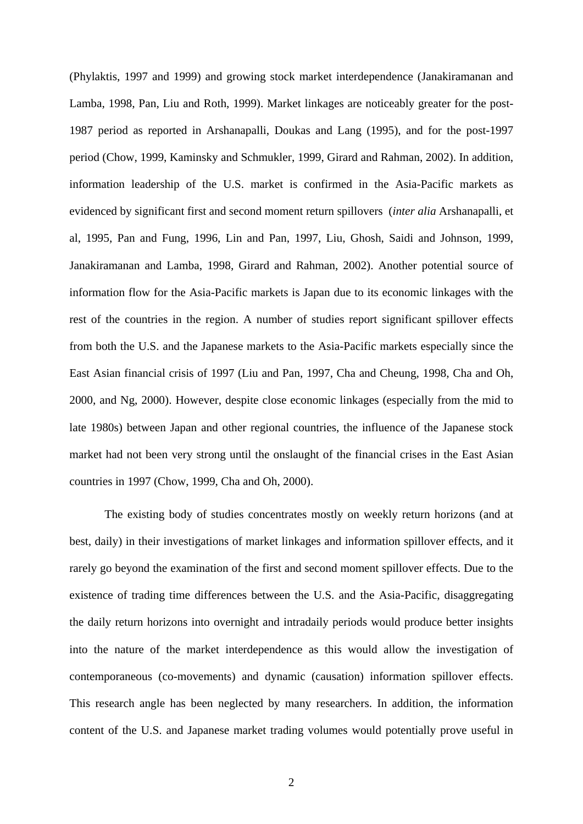(Phylaktis, 1997 and 1999) and growing stock market interdependence (Janakiramanan and Lamba, 1998, Pan, Liu and Roth, 1999). Market linkages are noticeably greater for the post-1987 period as reported in Arshanapalli, Doukas and Lang (1995), and for the post-1997 period (Chow, 1999, Kaminsky and Schmukler, 1999, Girard and Rahman, 2002). In addition, information leadership of the U.S. market is confirmed in the Asia-Pacific markets as evidenced by significant first and second moment return spillovers (*inter alia* Arshanapalli, et al, 1995, Pan and Fung, 1996, Lin and Pan, 1997, Liu, Ghosh, Saidi and Johnson, 1999, Janakiramanan and Lamba, 1998, Girard and Rahman, 2002). Another potential source of information flow for the Asia-Pacific markets is Japan due to its economic linkages with the rest of the countries in the region. A number of studies report significant spillover effects from both the U.S. and the Japanese markets to the Asia-Pacific markets especially since the East Asian financial crisis of 1997 (Liu and Pan, 1997, Cha and Cheung, 1998, Cha and Oh, 2000, and Ng, 2000). However, despite close economic linkages (especially from the mid to late 1980s) between Japan and other regional countries, the influence of the Japanese stock market had not been very strong until the onslaught of the financial crises in the East Asian countries in 1997 (Chow, 1999, Cha and Oh, 2000).

The existing body of studies concentrates mostly on weekly return horizons (and at best, daily) in their investigations of market linkages and information spillover effects, and it rarely go beyond the examination of the first and second moment spillover effects. Due to the existence of trading time differences between the U.S. and the Asia-Pacific, disaggregating the daily return horizons into overnight and intradaily periods would produce better insights into the nature of the market interdependence as this would allow the investigation of contemporaneous (co-movements) and dynamic (causation) information spillover effects. This research angle has been neglected by many researchers. In addition, the information content of the U.S. and Japanese market trading volumes would potentially prove useful in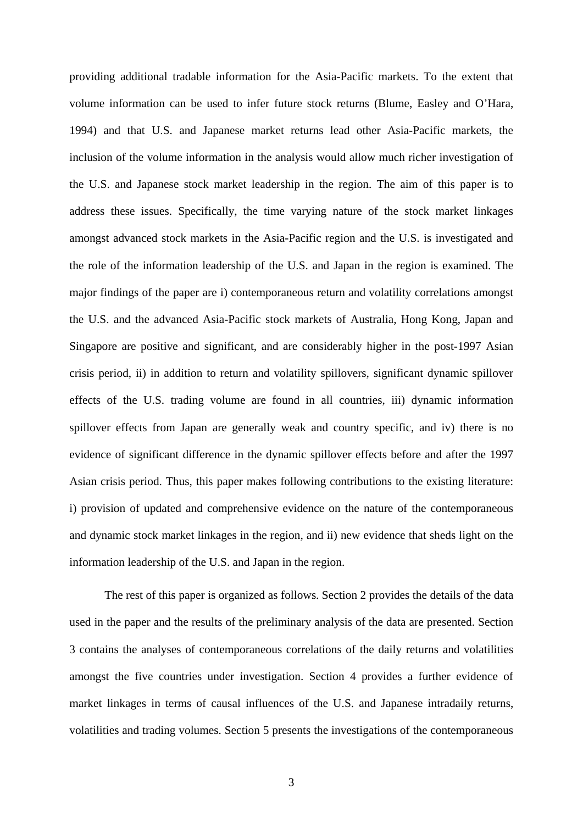providing additional tradable information for the Asia-Pacific markets. To the extent that volume information can be used to infer future stock returns (Blume, Easley and O'Hara, 1994) and that U.S. and Japanese market returns lead other Asia-Pacific markets, the inclusion of the volume information in the analysis would allow much richer investigation of the U.S. and Japanese stock market leadership in the region. The aim of this paper is to address these issues. Specifically, the time varying nature of the stock market linkages amongst advanced stock markets in the Asia-Pacific region and the U.S. is investigated and the role of the information leadership of the U.S. and Japan in the region is examined. The major findings of the paper are i) contemporaneous return and volatility correlations amongst the U.S. and the advanced Asia-Pacific stock markets of Australia, Hong Kong, Japan and Singapore are positive and significant, and are considerably higher in the post-1997 Asian crisis period, ii) in addition to return and volatility spillovers, significant dynamic spillover effects of the U.S. trading volume are found in all countries, iii) dynamic information spillover effects from Japan are generally weak and country specific, and iv) there is no evidence of significant difference in the dynamic spillover effects before and after the 1997 Asian crisis period. Thus, this paper makes following contributions to the existing literature: i) provision of updated and comprehensive evidence on the nature of the contemporaneous and dynamic stock market linkages in the region, and ii) new evidence that sheds light on the information leadership of the U.S. and Japan in the region.

The rest of this paper is organized as follows. Section 2 provides the details of the data used in the paper and the results of the preliminary analysis of the data are presented. Section 3 contains the analyses of contemporaneous correlations of the daily returns and volatilities amongst the five countries under investigation. Section 4 provides a further evidence of market linkages in terms of causal influences of the U.S. and Japanese intradaily returns, volatilities and trading volumes. Section 5 presents the investigations of the contemporaneous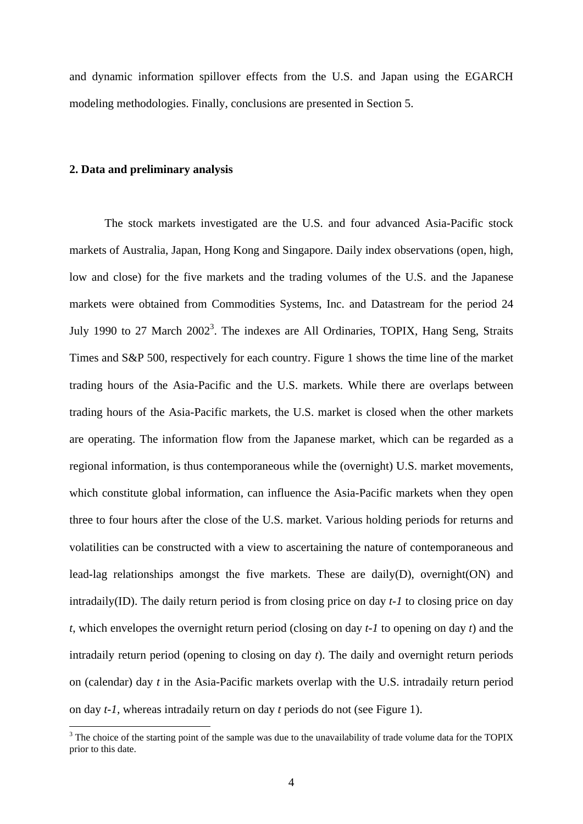and dynamic information spillover effects from the U.S. and Japan using the EGARCH modeling methodologies. Finally, conclusions are presented in Section 5.

#### **2. Data and preliminary analysis**

The stock markets investigated are the U.S. and four advanced Asia-Pacific stock markets of Australia, Japan, Hong Kong and Singapore. Daily index observations (open, high, low and close) for the five markets and the trading volumes of the U.S. and the Japanese markets were obtained from Commodities Systems, Inc. and Datastream for the period 24 July 1990 to 27 March  $2002<sup>3</sup>$ . The indexes are All Ordinaries, TOPIX, Hang Seng, Straits Times and S&P 500, respectively for each country. Figure 1 shows the time line of the market trading hours of the Asia-Pacific and the U.S. markets. While there are overlaps between trading hours of the Asia-Pacific markets, the U.S. market is closed when the other markets are operating. The information flow from the Japanese market, which can be regarded as a regional information, is thus contemporaneous while the (overnight) U.S. market movements, which constitute global information, can influence the Asia-Pacific markets when they open three to four hours after the close of the U.S. market. Various holding periods for returns and volatilities can be constructed with a view to ascertaining the nature of contemporaneous and lead-lag relationships amongst the five markets. These are daily(D), overnight(ON) and intradaily(ID). The daily return period is from closing price on day *t-1* to closing price on day *t*, which envelopes the overnight return period (closing on day *t-1* to opening on day *t*) and the intradaily return period (opening to closing on day *t*). The daily and overnight return periods on (calendar) day *t* in the Asia-Pacific markets overlap with the U.S. intradaily return period on day *t-1,* whereas intradaily return on day *t* periods do not (see Figure 1).

<sup>&</sup>lt;sup>3</sup> The choice of the starting point of the sample was due to the unavailability of trade volume data for the TOPIX prior to this date.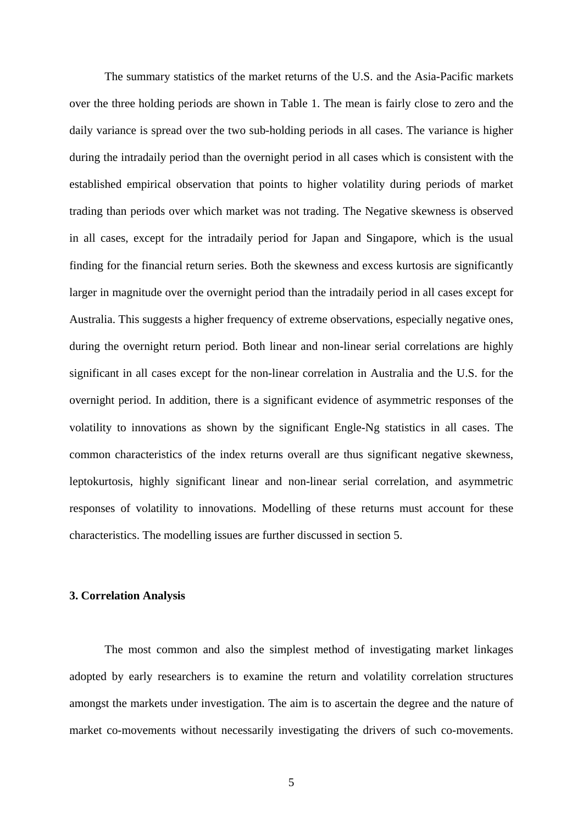The summary statistics of the market returns of the U.S. and the Asia-Pacific markets over the three holding periods are shown in Table 1. The mean is fairly close to zero and the daily variance is spread over the two sub-holding periods in all cases. The variance is higher during the intradaily period than the overnight period in all cases which is consistent with the established empirical observation that points to higher volatility during periods of market trading than periods over which market was not trading. The Negative skewness is observed in all cases, except for the intradaily period for Japan and Singapore, which is the usual finding for the financial return series. Both the skewness and excess kurtosis are significantly larger in magnitude over the overnight period than the intradaily period in all cases except for Australia. This suggests a higher frequency of extreme observations, especially negative ones, during the overnight return period. Both linear and non-linear serial correlations are highly significant in all cases except for the non-linear correlation in Australia and the U.S. for the overnight period. In addition, there is a significant evidence of asymmetric responses of the volatility to innovations as shown by the significant Engle-Ng statistics in all cases. The common characteristics of the index returns overall are thus significant negative skewness, leptokurtosis, highly significant linear and non-linear serial correlation, and asymmetric responses of volatility to innovations. Modelling of these returns must account for these characteristics. The modelling issues are further discussed in section 5.

#### **3. Correlation Analysis**

The most common and also the simplest method of investigating market linkages adopted by early researchers is to examine the return and volatility correlation structures amongst the markets under investigation. The aim is to ascertain the degree and the nature of market co-movements without necessarily investigating the drivers of such co-movements.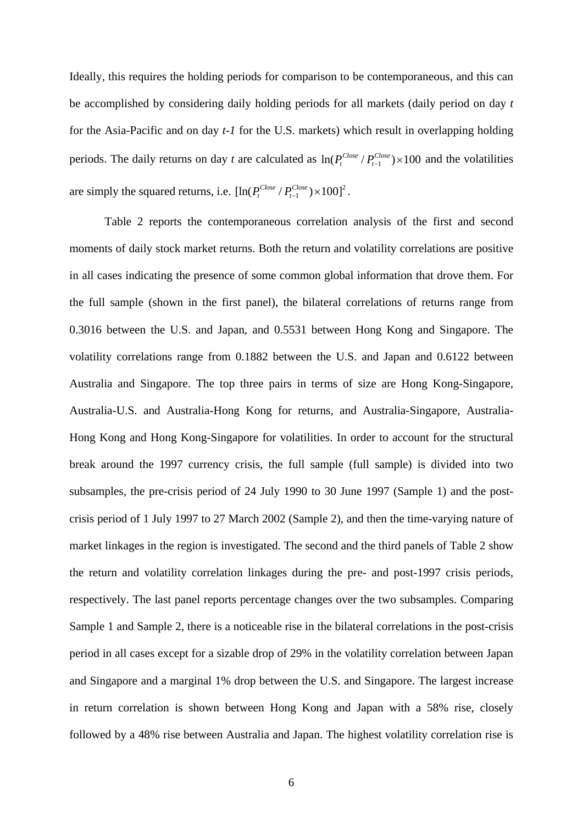Ideally, this requires the holding periods for comparison to be contemporaneous, and this can be accomplished by considering daily holding periods for all markets (daily period on day *t* for the Asia-Pacific and on day *t-1* for the U.S. markets) which result in overlapping holding periods. The daily returns on day *t* are calculated as  $\ln(P_t^{\text{Close}}/P_{t-1}^{\text{Close}}) \times 100$  and the volatilities are simply the squared returns, i.e.  $[\ln(P_t^{\text{Close}} / P_{t-1}^{\text{Close}}) \times 100]^2$ .

Table 2 reports the contemporaneous correlation analysis of the first and second moments of daily stock market returns. Both the return and volatility correlations are positive in all cases indicating the presence of some common global information that drove them. For the full sample (shown in the first panel), the bilateral correlations of returns range from 0.3016 between the U.S. and Japan, and 0.5531 between Hong Kong and Singapore. The volatility correlations range from 0.1882 between the U.S. and Japan and 0.6122 between Australia and Singapore. The top three pairs in terms of size are Hong Kong-Singapore, Australia-U.S. and Australia-Hong Kong for returns, and Australia-Singapore, Australia-Hong Kong and Hong Kong-Singapore for volatilities. In order to account for the structural break around the 1997 currency crisis, the full sample (full sample) is divided into two subsamples, the pre-crisis period of 24 July 1990 to 30 June 1997 (Sample 1) and the postcrisis period of 1 July 1997 to 27 March 2002 (Sample 2), and then the time-varying nature of market linkages in the region is investigated. The second and the third panels of Table 2 show the return and volatility correlation linkages during the pre- and post-1997 crisis periods, respectively. The last panel reports percentage changes over the two subsamples. Comparing Sample 1 and Sample 2, there is a noticeable rise in the bilateral correlations in the post-crisis period in all cases except for a sizable drop of 29% in the volatility correlation between Japan and Singapore and a marginal 1% drop between the U.S. and Singapore. The largest increase in return correlation is shown between Hong Kong and Japan with a 58% rise, closely followed by a 48% rise between Australia and Japan. The highest volatility correlation rise is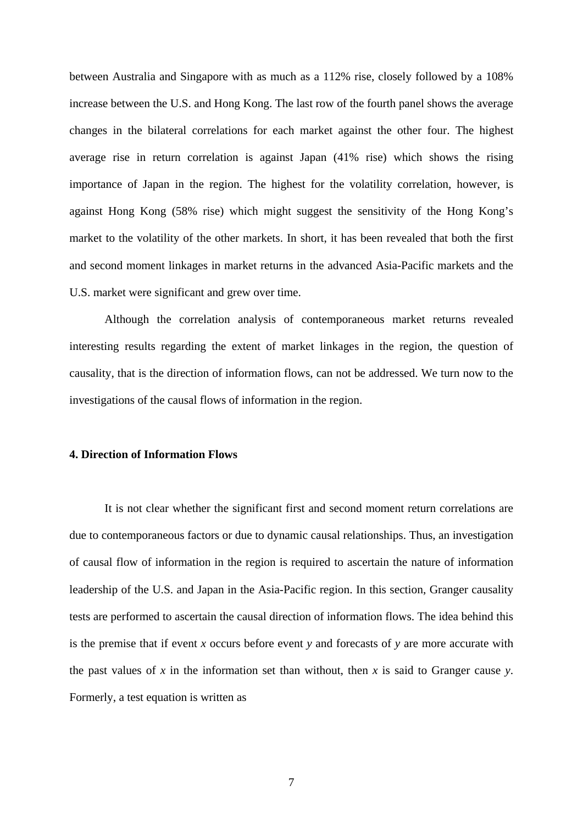between Australia and Singapore with as much as a 112% rise, closely followed by a 108% increase between the U.S. and Hong Kong. The last row of the fourth panel shows the average changes in the bilateral correlations for each market against the other four. The highest average rise in return correlation is against Japan (41% rise) which shows the rising importance of Japan in the region. The highest for the volatility correlation, however, is against Hong Kong (58% rise) which might suggest the sensitivity of the Hong Kong's market to the volatility of the other markets. In short, it has been revealed that both the first and second moment linkages in market returns in the advanced Asia-Pacific markets and the U.S. market were significant and grew over time.

Although the correlation analysis of contemporaneous market returns revealed interesting results regarding the extent of market linkages in the region, the question of causality, that is the direction of information flows, can not be addressed. We turn now to the investigations of the causal flows of information in the region.

#### **4. Direction of Information Flows**

It is not clear whether the significant first and second moment return correlations are due to contemporaneous factors or due to dynamic causal relationships. Thus, an investigation of causal flow of information in the region is required to ascertain the nature of information leadership of the U.S. and Japan in the Asia-Pacific region. In this section, Granger causality tests are performed to ascertain the causal direction of information flows. The idea behind this is the premise that if event *x* occurs before event *y* and forecasts of *y* are more accurate with the past values of *x* in the information set than without, then *x* is said to Granger cause *y*. Formerly, a test equation is written as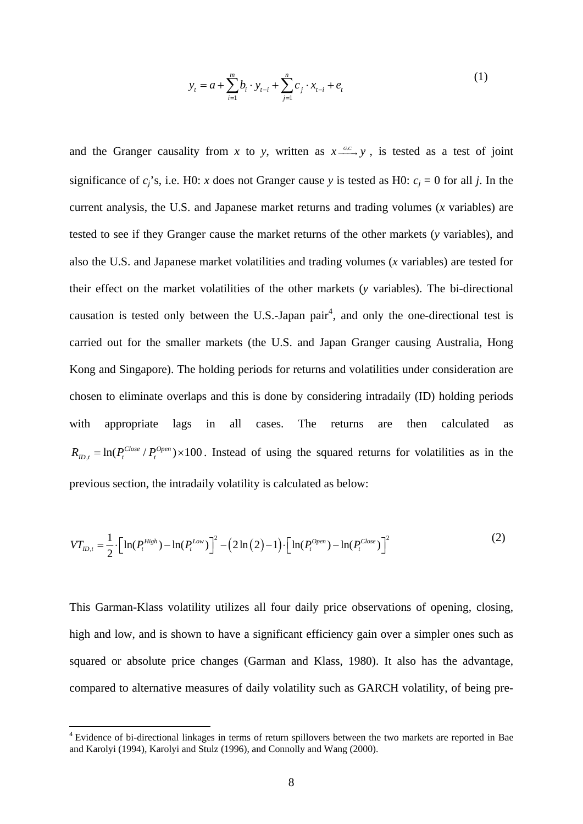$$
y_{t} = a + \sum_{i=1}^{m} b_{i} \cdot y_{t-i} + \sum_{j=1}^{n} c_{j} \cdot x_{t-i} + e_{t}
$$
 (1)

and the Granger causality from *x* to *y*, written as  $x \xrightarrow{cc} y$ , is tested as a test of joint significance of  $c_i$ 's, i.e. H0: *x* does not Granger cause *y* is tested as H0:  $c_i = 0$  for all *j*. In the current analysis, the U.S. and Japanese market returns and trading volumes (*x* variables) are tested to see if they Granger cause the market returns of the other markets (*y* variables), and also the U.S. and Japanese market volatilities and trading volumes (*x* variables) are tested for their effect on the market volatilities of the other markets (*y* variables). The bi-directional causation is tested only between the U.S.-Japan pair<sup>4</sup>, and only the one-directional test is carried out for the smaller markets (the U.S. and Japan Granger causing Australia, Hong Kong and Singapore). The holding periods for returns and volatilities under consideration are chosen to eliminate overlaps and this is done by considering intradaily (ID) holding periods with appropriate lags in all cases. The returns are then calculated as  $R_{ID,t} = \ln(P_t^{Close} / P_t^{Open}) \times 100$ . Instead of using the squared returns for volatilities as in the previous section, the intradaily volatility is calculated as below:

$$
VT_{ID,t} = \frac{1}{2} \cdot \Big[ \ln(P_t^{High}) - \ln(P_t^{Low}) \Big]^2 - \Big( 2\ln(2) - 1 \Big) \cdot \Big[ \ln(P_t^{Open}) - \ln(P_t^{Close}) \Big]^2 \tag{2}
$$

This Garman-Klass volatility utilizes all four daily price observations of opening, closing, high and low, and is shown to have a significant efficiency gain over a simpler ones such as squared or absolute price changes (Garman and Klass, 1980). It also has the advantage, compared to alternative measures of daily volatility such as GARCH volatility, of being pre-

<u>.</u>

<sup>&</sup>lt;sup>4</sup> Evidence of bi-directional linkages in terms of return spillovers between the two markets are reported in Bae and Karolyi (1994), Karolyi and Stulz (1996), and Connolly and Wang (2000).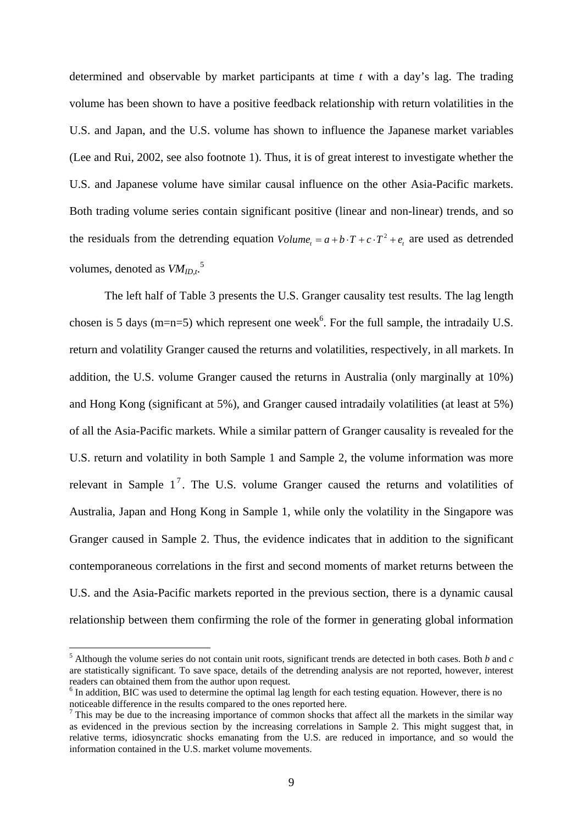determined and observable by market participants at time *t* with a day's lag. The trading volume has been shown to have a positive feedback relationship with return volatilities in the U.S. and Japan, and the U.S. volume has shown to influence the Japanese market variables (Lee and Rui, 2002, see also footnote 1). Thus, it is of great interest to investigate whether the U.S. and Japanese volume have similar causal influence on the other Asia-Pacific markets. Both trading volume series contain significant positive (linear and non-linear) trends, and so the residuals from the detrending equation  $Volume = a + b \cdot T + c \cdot T^2 + e$ , are used as detrended volumes, denoted as  $VM_{ID,t}$ .<sup>5</sup>

 The left half of Table 3 presents the U.S. Granger causality test results. The lag length chosen is 5 days (m=n=5) which represent one week<sup>6</sup>. For the full sample, the intradaily U.S. return and volatility Granger caused the returns and volatilities, respectively, in all markets. In addition, the U.S. volume Granger caused the returns in Australia (only marginally at 10%) and Hong Kong (significant at 5%), and Granger caused intradaily volatilities (at least at 5%) of all the Asia-Pacific markets. While a similar pattern of Granger causality is revealed for the U.S. return and volatility in both Sample 1 and Sample 2, the volume information was more relevant in Sample  $1^7$ . The U.S. volume Granger caused the returns and volatilities of Australia, Japan and Hong Kong in Sample 1, while only the volatility in the Singapore was Granger caused in Sample 2. Thus, the evidence indicates that in addition to the significant contemporaneous correlations in the first and second moments of market returns between the U.S. and the Asia-Pacific markets reported in the previous section, there is a dynamic causal relationship between them confirming the role of the former in generating global information

1

<sup>5</sup> Although the volume series do not contain unit roots, significant trends are detected in both cases. Both *b* and *c* are statistically significant. To save space, details of the detrending analysis are not reported, however, interest readers can obtained them from the author upon request. 6

 $<sup>6</sup>$  In addition, BIC was used to determine the optimal lag length for each testing equation. However, there is no</sup> noticeable difference in the results compared to the ones reported here. 7

This may be due to the increasing importance of common shocks that affect all the markets in the similar way as evidenced in the previous section by the increasing correlations in Sample 2. This might suggest that, in relative terms, idiosyncratic shocks emanating from the U.S. are reduced in importance, and so would the information contained in the U.S. market volume movements.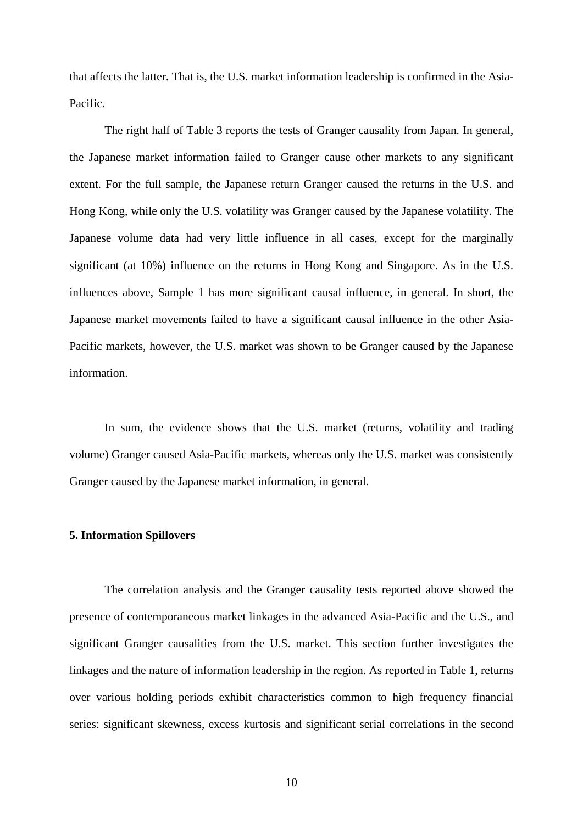that affects the latter. That is, the U.S. market information leadership is confirmed in the Asia-Pacific.

 The right half of Table 3 reports the tests of Granger causality from Japan. In general, the Japanese market information failed to Granger cause other markets to any significant extent. For the full sample, the Japanese return Granger caused the returns in the U.S. and Hong Kong, while only the U.S. volatility was Granger caused by the Japanese volatility. The Japanese volume data had very little influence in all cases, except for the marginally significant (at 10%) influence on the returns in Hong Kong and Singapore. As in the U.S. influences above, Sample 1 has more significant causal influence, in general. In short, the Japanese market movements failed to have a significant causal influence in the other Asia-Pacific markets, however, the U.S. market was shown to be Granger caused by the Japanese information.

 In sum, the evidence shows that the U.S. market (returns, volatility and trading volume) Granger caused Asia-Pacific markets, whereas only the U.S. market was consistently Granger caused by the Japanese market information, in general.

#### **5. Information Spillovers**

 The correlation analysis and the Granger causality tests reported above showed the presence of contemporaneous market linkages in the advanced Asia-Pacific and the U.S., and significant Granger causalities from the U.S. market. This section further investigates the linkages and the nature of information leadership in the region. As reported in Table 1, returns over various holding periods exhibit characteristics common to high frequency financial series: significant skewness, excess kurtosis and significant serial correlations in the second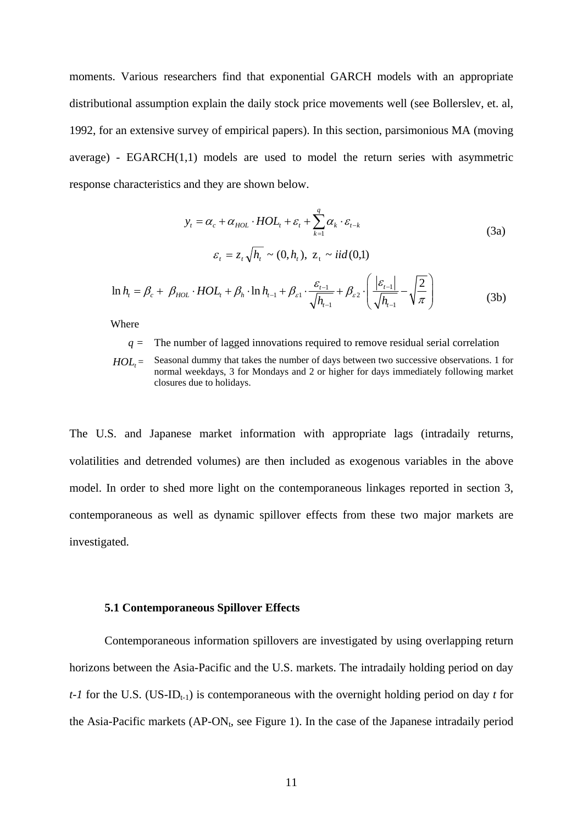moments. Various researchers find that exponential GARCH models with an appropriate distributional assumption explain the daily stock price movements well (see Bollerslev, et. al, 1992, for an extensive survey of empirical papers). In this section, parsimonious MA (moving average) - EGARCH(1,1) models are used to model the return series with asymmetric response characteristics and they are shown below.

$$
y_{t} = \alpha_{c} + \alpha_{HOL} \cdot HOL_{t} + \varepsilon_{t} + \sum_{k=1}^{q} \alpha_{k} \cdot \varepsilon_{t-k}
$$
\n(3a)  
\n
$$
\varepsilon_{t} = z_{t} \sqrt{h_{t}} \sim (0, h_{t}), \ z_{t} \sim iid(0,1)
$$
\n
$$
\ln h_{t} = \beta_{c} + \beta_{HOL} \cdot HOL_{t} + \beta_{h} \cdot \ln h_{t-1} + \beta_{s1} \cdot \frac{\varepsilon_{t-1}}{\sqrt{h_{t-1}}} + \beta_{s2} \cdot \left(\frac{|\varepsilon_{t-1}|}{\sqrt{h_{t-1}}} - \sqrt{\frac{2}{\pi}}\right)
$$
\n(3b)

Where

*q =* The number of lagged innovations required to remove residual serial correlation

 $HOL<sub>t</sub>$  = Seasonal dummy that takes the number of days between two successive observations. 1 for normal weekdays, 3 for Mondays and 2 or higher for days immediately following market closures due to holidays.

The U.S. and Japanese market information with appropriate lags (intradaily returns, volatilities and detrended volumes) are then included as exogenous variables in the above model. In order to shed more light on the contemporaneous linkages reported in section 3, contemporaneous as well as dynamic spillover effects from these two major markets are investigated.

#### **5.1 Contemporaneous Spillover Effects**

Contemporaneous information spillovers are investigated by using overlapping return horizons between the Asia-Pacific and the U.S. markets. The intradaily holding period on day  $t$ -1 for the U.S. (US-ID<sub>t-1</sub>) is contemporaneous with the overnight holding period on day *t* for the Asia-Pacific markets  $(AP-ON_t$ , see Figure 1). In the case of the Japanese intradaily period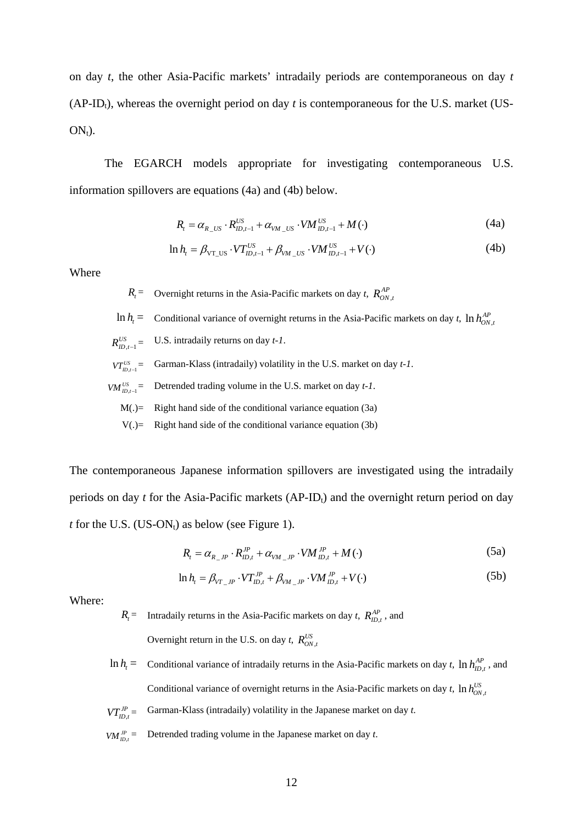on day *t*, the other Asia-Pacific markets' intradaily periods are contemporaneous on day *t* (AP-ID<sub>t</sub>), whereas the overnight period on day  $t$  is contemporaneous for the U.S. market (US- $ON<sub>t</sub>$ ).

The EGARCH models appropriate for investigating contemporaneous U.S. information spillovers are equations (4a) and (4b) below.

$$
R_{t} = \alpha_{R_{\perp}US} \cdot R_{ID,t-1}^{US} + \alpha_{VM_{\perp}US} \cdot VM_{ID,t-1}^{US} + M(\cdot)
$$
 (4a)

$$
\ln h_t = \beta_{\text{VT}_{\text{LD},t-1}} \cdot VT_{\text{ID},t-1}^{US} + \beta_{\text{VM}_{\text{LD},t-1}} \cdot VM_{\text{ID},t-1}^{US} + V(\cdot)
$$
(4b)

Where

 $R_t$  = Overnight returns in the Asia-Pacific markets on day *t*,  $R_{ON,t}^{AP}$ 

 $\ln h_t$  = Conditional variance of overnight returns in the Asia-Pacific markets on day *t*,  $\ln h_{ON,t}^{AP}$ 

- $R_{ID,t-1}^{US} =$ *U.S.* intradaily returns on day *t-1*.
- $VT_{ID.t-1}^{US}$  = Garman-Klass (intradaily) volatility in the U.S. market on day  $t$ -1.
- $VM_{ID.t-1}^{US}$  = Detrended trading volume in the U.S. market on day  $t$ -1.
	- $M(.)$  = Right hand side of the conditional variance equation (3a)
	- $V(.)$  = Right hand side of the conditional variance equation (3b)

The contemporaneous Japanese information spillovers are investigated using the intradaily periods on day *t* for the Asia-Pacific markets (AP-ID<sub>t</sub>) and the overnight return period on day *t* for the U.S. (US-ON<sub>t</sub>) as below (see Figure 1).

$$
R_{t} = \alpha_{R_{\perp}JP} \cdot R_{ID,t}^{JP} + \alpha_{VM_{\perp}JP} \cdot VM_{ID,t}^{JP} + M(\cdot)
$$
\n(5a)

$$
\ln h_t = \beta_{VT\_JP} \cdot VT_{ID,t}^{JP} + \beta_{VM\_JP} \cdot VM_{ID,t}^{JP} + V(\cdot)
$$
 (5b)

Where:

 $R_t$  = Intradaily returns in the Asia-Pacific markets on day *t*,  $R_{t}^{AP}$ , and Overnight return in the U.S. on day *t*,  $R_{ON,t}^{US}$ 

- $\ln h_t$  = Conditional variance of intradaily returns in the Asia-Pacific markets on day *t*,  $\ln h_{ID,t}^{AP}$ , and Conditional variance of overnight returns in the Asia-Pacific markets on day *t*,  $\ln h_{ON}^{US}$
- $VT_{m,t}^{JP}$  = Garman-Klass (intradaily) volatility in the Japanese market on day *t*.
- $VM_{m,t}^{JP}$ Detrended trading volume in the Japanese market on day *t*.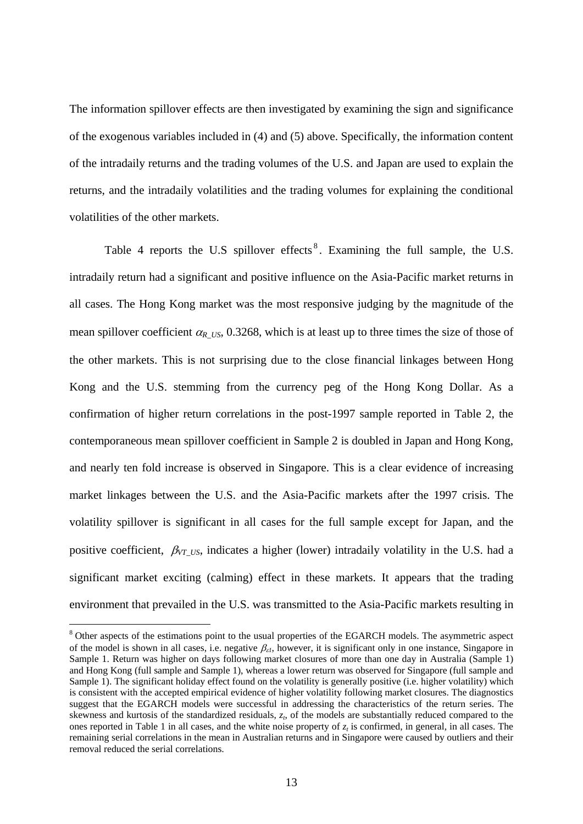The information spillover effects are then investigated by examining the sign and significance of the exogenous variables included in (4) and (5) above. Specifically, the information content of the intradaily returns and the trading volumes of the U.S. and Japan are used to explain the returns, and the intradaily volatilities and the trading volumes for explaining the conditional volatilities of the other markets.

Table 4 reports the U.S spillover effects<sup>8</sup>. Examining the full sample, the U.S. intradaily return had a significant and positive influence on the Asia-Pacific market returns in all cases. The Hong Kong market was the most responsive judging by the magnitude of the mean spillover coefficient  $\alpha_{R_1US}$ , 0.3268, which is at least up to three times the size of those of the other markets. This is not surprising due to the close financial linkages between Hong Kong and the U.S. stemming from the currency peg of the Hong Kong Dollar. As a confirmation of higher return correlations in the post-1997 sample reported in Table 2, the contemporaneous mean spillover coefficient in Sample 2 is doubled in Japan and Hong Kong, and nearly ten fold increase is observed in Singapore. This is a clear evidence of increasing market linkages between the U.S. and the Asia-Pacific markets after the 1997 crisis. The volatility spillover is significant in all cases for the full sample except for Japan, and the positive coefficient, β*VT\_US*, indicates a higher (lower) intradaily volatility in the U.S. had a significant market exciting (calming) effect in these markets. It appears that the trading environment that prevailed in the U.S. was transmitted to the Asia-Pacific markets resulting in

<u>.</u>

<sup>&</sup>lt;sup>8</sup> Other aspects of the estimations point to the usual properties of the EGARCH models. The asymmetric aspect of the model is shown in all cases, i.e. negative  $\beta_{\varepsilon l}$ , however, it is significant only in one instance, Singapore in Sample 1. Return was higher on days following market closures of more than one day in Australia (Sample 1) and Hong Kong (full sample and Sample 1), whereas a lower return was observed for Singapore (full sample and Sample 1). The significant holiday effect found on the volatility is generally positive (i.e. higher volatility) which is consistent with the accepted empirical evidence of higher volatility following market closures. The diagnostics suggest that the EGARCH models were successful in addressing the characteristics of the return series. The skewness and kurtosis of the standardized residuals,  $z_t$ , of the models are substantially reduced compared to the ones reported in Table 1 in all cases, and the white noise property of  $z_t$  is confirmed, in general, in all cases. The remaining serial correlations in the mean in Australian returns and in Singapore were caused by outliers and their removal reduced the serial correlations.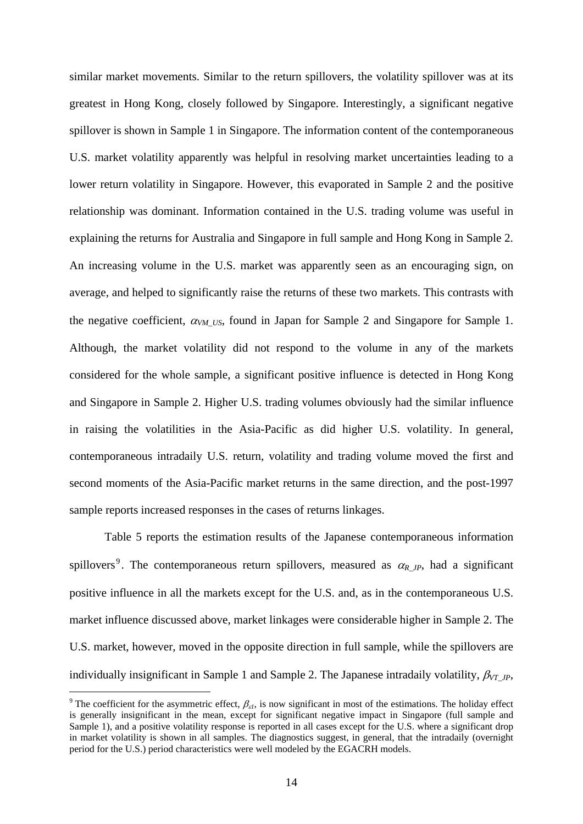similar market movements. Similar to the return spillovers, the volatility spillover was at its greatest in Hong Kong, closely followed by Singapore. Interestingly, a significant negative spillover is shown in Sample 1 in Singapore. The information content of the contemporaneous U.S. market volatility apparently was helpful in resolving market uncertainties leading to a lower return volatility in Singapore. However, this evaporated in Sample 2 and the positive relationship was dominant. Information contained in the U.S. trading volume was useful in explaining the returns for Australia and Singapore in full sample and Hong Kong in Sample 2. An increasing volume in the U.S. market was apparently seen as an encouraging sign, on average, and helped to significantly raise the returns of these two markets. This contrasts with the negative coefficient,  $\alpha_{VM~US}$ , found in Japan for Sample 2 and Singapore for Sample 1. Although, the market volatility did not respond to the volume in any of the markets considered for the whole sample, a significant positive influence is detected in Hong Kong and Singapore in Sample 2. Higher U.S. trading volumes obviously had the similar influence in raising the volatilities in the Asia-Pacific as did higher U.S. volatility. In general, contemporaneous intradaily U.S. return, volatility and trading volume moved the first and second moments of the Asia-Pacific market returns in the same direction, and the post-1997 sample reports increased responses in the cases of returns linkages.

 Table 5 reports the estimation results of the Japanese contemporaneous information spillovers<sup>9</sup>. The contemporaneous return spillovers, measured as  $\alpha_{R}$ <sub>JP</sub>, had a significant positive influence in all the markets except for the U.S. and, as in the contemporaneous U.S. market influence discussed above, market linkages were considerable higher in Sample 2. The U.S. market, however, moved in the opposite direction in full sample, while the spillovers are individually insignificant in Sample 1 and Sample 2. The Japanese intradaily volatility,  $\beta_{VT}$ <sub>*JP*</sub>,

<u>.</u>

<sup>&</sup>lt;sup>9</sup> The coefficient for the asymmetric effect,  $\beta_{\epsilon l}$ , is now significant in most of the estimations. The holiday effect is generally insignificant in the mean, except for significant negative impact in Singapore (full sample and Sample 1), and a positive volatility response is reported in all cases except for the U.S. where a significant drop in market volatility is shown in all samples. The diagnostics suggest, in general, that the intradaily (overnight period for the U.S.) period characteristics were well modeled by the EGACRH models.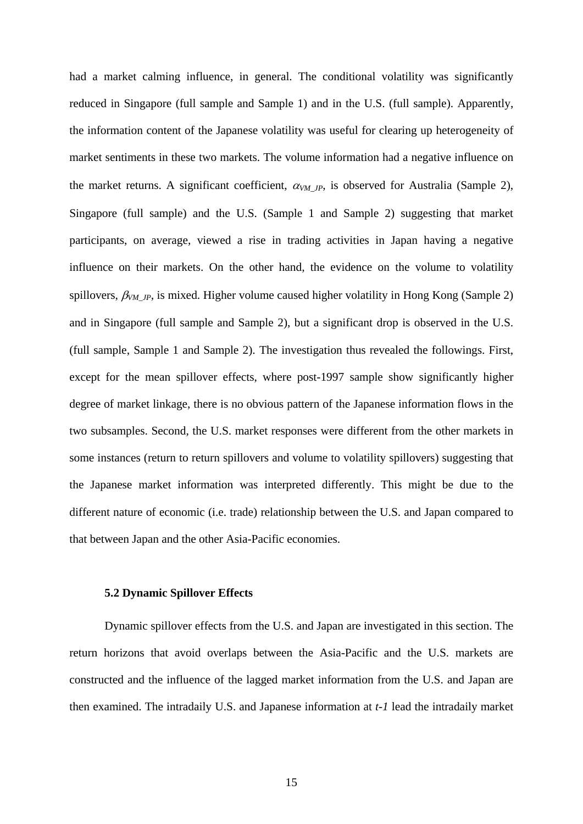had a market calming influence, in general. The conditional volatility was significantly reduced in Singapore (full sample and Sample 1) and in the U.S. (full sample). Apparently, the information content of the Japanese volatility was useful for clearing up heterogeneity of market sentiments in these two markets. The volume information had a negative influence on the market returns. A significant coefficient,  $\alpha_{VM\_JP}$ , is observed for Australia (Sample 2), Singapore (full sample) and the U.S. (Sample 1 and Sample 2) suggesting that market participants, on average, viewed a rise in trading activities in Japan having a negative influence on their markets. On the other hand, the evidence on the volume to volatility spillovers,  $\beta_{VM}$ <sub>JP</sub>, is mixed. Higher volume caused higher volatility in Hong Kong (Sample 2) and in Singapore (full sample and Sample 2), but a significant drop is observed in the U.S. (full sample, Sample 1 and Sample 2). The investigation thus revealed the followings. First, except for the mean spillover effects, where post-1997 sample show significantly higher degree of market linkage, there is no obvious pattern of the Japanese information flows in the two subsamples. Second, the U.S. market responses were different from the other markets in some instances (return to return spillovers and volume to volatility spillovers) suggesting that the Japanese market information was interpreted differently. This might be due to the different nature of economic (i.e. trade) relationship between the U.S. and Japan compared to that between Japan and the other Asia-Pacific economies.

#### **5.2 Dynamic Spillover Effects**

Dynamic spillover effects from the U.S. and Japan are investigated in this section. The return horizons that avoid overlaps between the Asia-Pacific and the U.S. markets are constructed and the influence of the lagged market information from the U.S. and Japan are then examined. The intradaily U.S. and Japanese information at *t-1* lead the intradaily market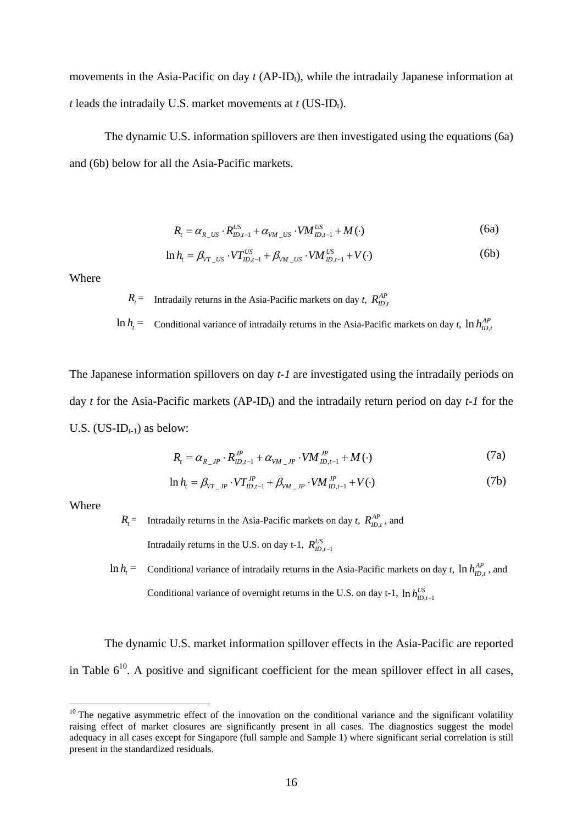movements in the Asia-Pacific on day  $t$  (AP-ID<sub>t</sub>), while the intradaily Japanese information at *t* leads the intradaily U.S. market movements at  $t$  (US-ID<sub>t</sub>).

The dynamic U.S. information spillovers are then investigated using the equations (6a) and (6b) below for all the Asia-Pacific markets.

$$
R_{t} = \alpha_{R_{\perp}US} \cdot R_{ID,t-1}^{US} + \alpha_{VM_{\perp}US} \cdot VM_{ID,t-1}^{US} + M(\cdot)
$$
 (6a)

$$
\ln h_{t} = \beta_{VT\_US} \cdot VT_{ID,t-1}^{US} + \beta_{VM\_US} \cdot VM_{ID,t-1}^{US} + V(\cdot)
$$
 (6b)

Where

 $R_t$  = Intradaily returns in the Asia-Pacific markets on day *t*,  $R_{ID,t}^{AP}$ 

 $\ln h_t$  = Conditional variance of intradaily returns in the Asia-Pacific markets on day *t*,  $\ln h_{ID,t}^{AP}$ 

The Japanese information spillovers on day *t-1* are investigated using the intradaily periods on day *t* for the Asia-Pacific markets (AP-ID<sub>t</sub>) and the intradaily return period on day  $t$ -1 for the U.S.  $(US-ID_{t-1})$  as below:

$$
R_{t} = \alpha_{R_{-},IP} \cdot R_{ID,t-1}^{JP} + \alpha_{VM_{-},IP} \cdot VM_{ID,t-1}^{JP} + M(\cdot)
$$
 (7a)

$$
\ln h_t = \beta_{VT\_JP} \cdot VT_{ID,t-1}^{JP} + \beta_{VM\_JP} \cdot VM_{ID,t-1}^{JP} + V(\cdot)
$$
 (7b)

Where

1

 $R_t$  = Intradaily returns in the Asia-Pacific markets on day *t*,  $R_{ID,t}^{AP}$ , and Intradaily returns in the U.S. on day t-1,  $R_{ID,t-1}^{US}$ 

 $\ln h_t$  = Conditional variance of intradaily returns in the Asia-Pacific markets on day *t*,  $\ln h_{ID,t}^{AP}$ , and Conditional variance of overnight returns in the U.S. on day t-1,  $\ln h_{ID,t-1}^{US}$ 

The dynamic U.S. market information spillover effects in the Asia-Pacific are reported in Table  $6^{10}$ . A positive and significant coefficient for the mean spillover effect in all cases,

 $10$  The negative asymmetric effect of the innovation on the conditional variance and the significant volatility raising effect of market closures are significantly present in all cases. The diagnostics suggest the model adequacy in all cases except for Singapore (full sample and Sample 1) where significant serial correlation is still present in the standardized residuals.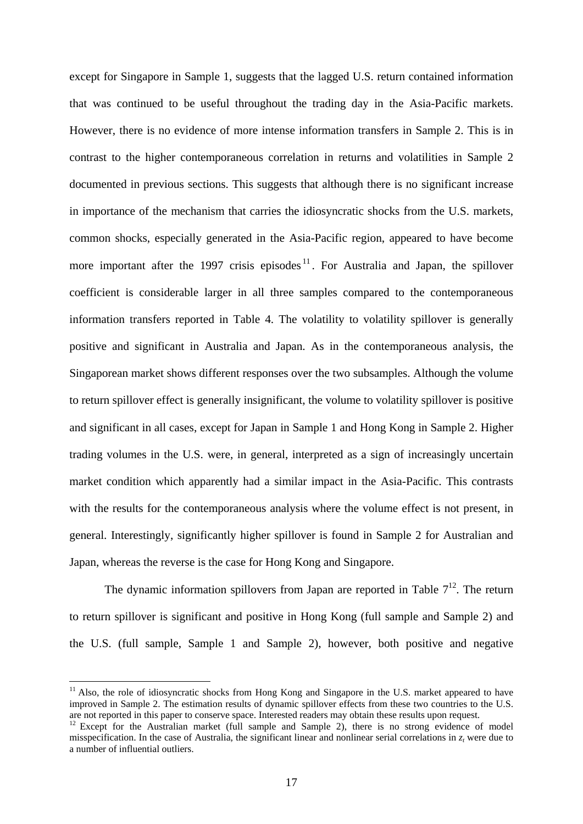except for Singapore in Sample 1, suggests that the lagged U.S. return contained information that was continued to be useful throughout the trading day in the Asia-Pacific markets. However, there is no evidence of more intense information transfers in Sample 2. This is in contrast to the higher contemporaneous correlation in returns and volatilities in Sample 2 documented in previous sections. This suggests that although there is no significant increase in importance of the mechanism that carries the idiosyncratic shocks from the U.S. markets, common shocks, especially generated in the Asia-Pacific region, appeared to have become more important after the 1997 crisis episodes  $11$ . For Australia and Japan, the spillover coefficient is considerable larger in all three samples compared to the contemporaneous information transfers reported in Table 4. The volatility to volatility spillover is generally positive and significant in Australia and Japan. As in the contemporaneous analysis, the Singaporean market shows different responses over the two subsamples. Although the volume to return spillover effect is generally insignificant, the volume to volatility spillover is positive and significant in all cases, except for Japan in Sample 1 and Hong Kong in Sample 2. Higher trading volumes in the U.S. were, in general, interpreted as a sign of increasingly uncertain market condition which apparently had a similar impact in the Asia-Pacific. This contrasts with the results for the contemporaneous analysis where the volume effect is not present, in general. Interestingly, significantly higher spillover is found in Sample 2 for Australian and Japan, whereas the reverse is the case for Hong Kong and Singapore.

The dynamic information spillovers from Japan are reported in Table  $7^{12}$ . The return to return spillover is significant and positive in Hong Kong (full sample and Sample 2) and the U.S. (full sample, Sample 1 and Sample 2), however, both positive and negative

1

<sup>&</sup>lt;sup>11</sup> Also, the role of idiosyncratic shocks from Hong Kong and Singapore in the U.S. market appeared to have improved in Sample 2. The estimation results of dynamic spillover effects from these two countries to the U.S. are not reported in this paper to conserve space. Interested readers may obtain these results upon request.<br><sup>12</sup> Except for the Australian market (full sample and Sample 2), there is no strong evidence of model

misspecification. In the case of Australia, the significant linear and nonlinear serial correlations in  $z<sub>t</sub>$  were due to a number of influential outliers.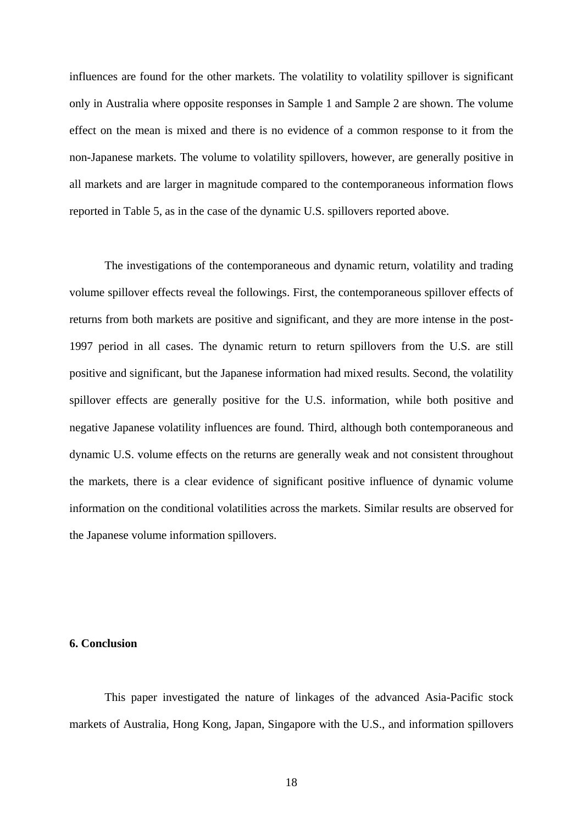influences are found for the other markets. The volatility to volatility spillover is significant only in Australia where opposite responses in Sample 1 and Sample 2 are shown. The volume effect on the mean is mixed and there is no evidence of a common response to it from the non-Japanese markets. The volume to volatility spillovers, however, are generally positive in all markets and are larger in magnitude compared to the contemporaneous information flows reported in Table 5, as in the case of the dynamic U.S. spillovers reported above.

The investigations of the contemporaneous and dynamic return, volatility and trading volume spillover effects reveal the followings. First, the contemporaneous spillover effects of returns from both markets are positive and significant, and they are more intense in the post-1997 period in all cases. The dynamic return to return spillovers from the U.S. are still positive and significant, but the Japanese information had mixed results. Second, the volatility spillover effects are generally positive for the U.S. information, while both positive and negative Japanese volatility influences are found. Third, although both contemporaneous and dynamic U.S. volume effects on the returns are generally weak and not consistent throughout the markets, there is a clear evidence of significant positive influence of dynamic volume information on the conditional volatilities across the markets. Similar results are observed for the Japanese volume information spillovers.

#### **6. Conclusion**

 This paper investigated the nature of linkages of the advanced Asia-Pacific stock markets of Australia, Hong Kong, Japan, Singapore with the U.S., and information spillovers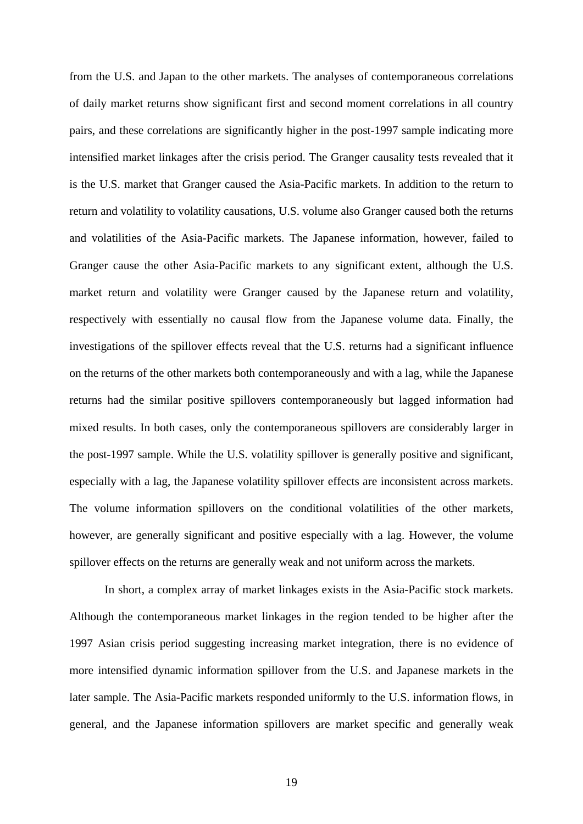from the U.S. and Japan to the other markets. The analyses of contemporaneous correlations of daily market returns show significant first and second moment correlations in all country pairs, and these correlations are significantly higher in the post-1997 sample indicating more intensified market linkages after the crisis period. The Granger causality tests revealed that it is the U.S. market that Granger caused the Asia-Pacific markets. In addition to the return to return and volatility to volatility causations, U.S. volume also Granger caused both the returns and volatilities of the Asia-Pacific markets. The Japanese information, however, failed to Granger cause the other Asia-Pacific markets to any significant extent, although the U.S. market return and volatility were Granger caused by the Japanese return and volatility, respectively with essentially no causal flow from the Japanese volume data. Finally, the investigations of the spillover effects reveal that the U.S. returns had a significant influence on the returns of the other markets both contemporaneously and with a lag, while the Japanese returns had the similar positive spillovers contemporaneously but lagged information had mixed results. In both cases, only the contemporaneous spillovers are considerably larger in the post-1997 sample. While the U.S. volatility spillover is generally positive and significant, especially with a lag, the Japanese volatility spillover effects are inconsistent across markets. The volume information spillovers on the conditional volatilities of the other markets, however, are generally significant and positive especially with a lag. However, the volume spillover effects on the returns are generally weak and not uniform across the markets.

 In short, a complex array of market linkages exists in the Asia-Pacific stock markets. Although the contemporaneous market linkages in the region tended to be higher after the 1997 Asian crisis period suggesting increasing market integration, there is no evidence of more intensified dynamic information spillover from the U.S. and Japanese markets in the later sample. The Asia-Pacific markets responded uniformly to the U.S. information flows, in general, and the Japanese information spillovers are market specific and generally weak

19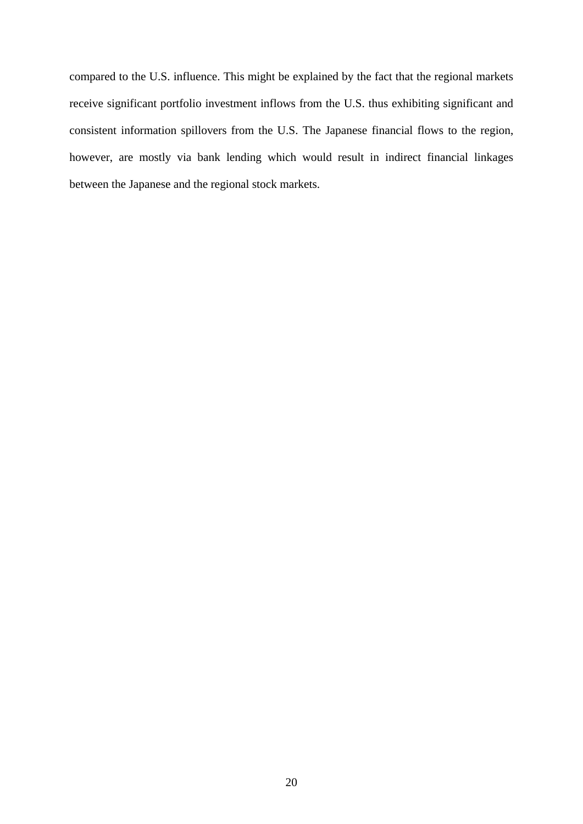compared to the U.S. influence. This might be explained by the fact that the regional markets receive significant portfolio investment inflows from the U.S. thus exhibiting significant and consistent information spillovers from the U.S. The Japanese financial flows to the region, however, are mostly via bank lending which would result in indirect financial linkages between the Japanese and the regional stock markets.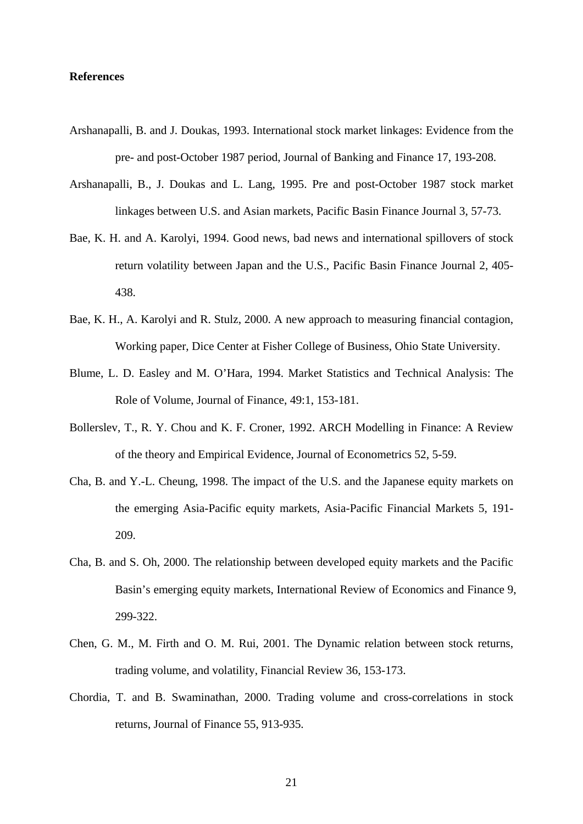### **References**

- Arshanapalli, B. and J. Doukas, 1993. International stock market linkages: Evidence from the pre- and post-October 1987 period, Journal of Banking and Finance 17, 193-208.
- Arshanapalli, B., J. Doukas and L. Lang, 1995. Pre and post-October 1987 stock market linkages between U.S. and Asian markets, Pacific Basin Finance Journal 3, 57-73.
- Bae, K. H. and A. Karolyi, 1994. Good news, bad news and international spillovers of stock return volatility between Japan and the U.S., Pacific Basin Finance Journal 2, 405- 438.
- Bae, K. H., A. Karolyi and R. Stulz, 2000. A new approach to measuring financial contagion, Working paper, Dice Center at Fisher College of Business, Ohio State University.
- Blume, L. D. Easley and M. O'Hara, 1994. Market Statistics and Technical Analysis: The Role of Volume, Journal of Finance, 49:1, 153-181.
- Bollerslev, T., R. Y. Chou and K. F. Croner, 1992. ARCH Modelling in Finance: A Review of the theory and Empirical Evidence, Journal of Econometrics 52, 5-59.
- Cha, B. and Y.-L. Cheung, 1998. The impact of the U.S. and the Japanese equity markets on the emerging Asia-Pacific equity markets, Asia-Pacific Financial Markets 5, 191- 209.
- Cha, B. and S. Oh, 2000. The relationship between developed equity markets and the Pacific Basin's emerging equity markets, International Review of Economics and Finance 9, 299-322.
- Chen, G. M., M. Firth and O. M. Rui, 2001. The Dynamic relation between stock returns, trading volume, and volatility, Financial Review 36, 153-173.
- Chordia, T. and B. Swaminathan, 2000. Trading volume and cross-correlations in stock returns, Journal of Finance 55, 913-935.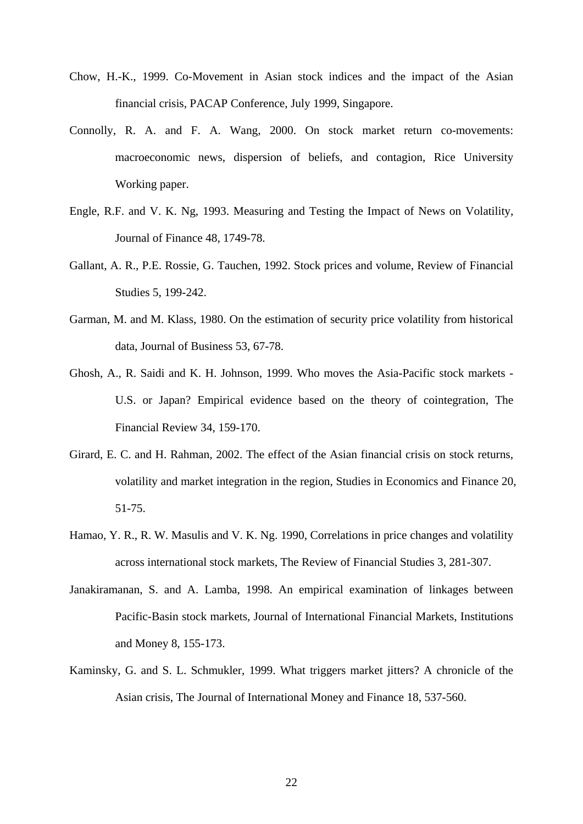- Chow, H.-K., 1999. Co-Movement in Asian stock indices and the impact of the Asian financial crisis, PACAP Conference, July 1999, Singapore.
- Connolly, R. A. and F. A. Wang, 2000. On stock market return co-movements: macroeconomic news, dispersion of beliefs, and contagion, Rice University Working paper.
- Engle, R.F. and V. K. Ng, 1993. Measuring and Testing the Impact of News on Volatility, Journal of Finance 48, 1749-78.
- Gallant, A. R., P.E. Rossie, G. Tauchen, 1992. Stock prices and volume, Review of Financial Studies 5, 199-242.
- Garman, M. and M. Klass, 1980. On the estimation of security price volatility from historical data, Journal of Business 53, 67-78.
- Ghosh, A., R. Saidi and K. H. Johnson, 1999. Who moves the Asia-Pacific stock markets U.S. or Japan? Empirical evidence based on the theory of cointegration, The Financial Review 34, 159-170.
- Girard, E. C. and H. Rahman, 2002. The effect of the Asian financial crisis on stock returns, volatility and market integration in the region, Studies in Economics and Finance 20, 51-75.
- Hamao, Y. R., R. W. Masulis and V. K. Ng. 1990, Correlations in price changes and volatility across international stock markets, The Review of Financial Studies 3, 281-307.
- Janakiramanan, S. and A. Lamba, 1998. An empirical examination of linkages between Pacific-Basin stock markets, Journal of International Financial Markets, Institutions and Money 8, 155-173.
- Kaminsky, G. and S. L. Schmukler, 1999. What triggers market jitters? A chronicle of the Asian crisis, The Journal of International Money and Finance 18, 537-560.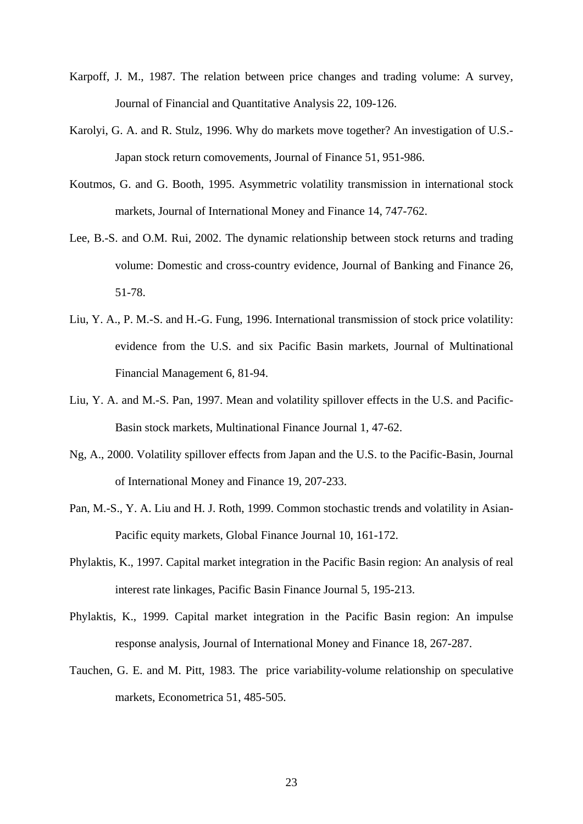- Karpoff, J. M., 1987. The relation between price changes and trading volume: A survey, Journal of Financial and Quantitative Analysis 22, 109-126.
- Karolyi, G. A. and R. Stulz, 1996. Why do markets move together? An investigation of U.S.- Japan stock return comovements, Journal of Finance 51, 951-986.
- Koutmos, G. and G. Booth, 1995. Asymmetric volatility transmission in international stock markets, Journal of International Money and Finance 14, 747-762.
- Lee, B.-S. and O.M. Rui, 2002. The dynamic relationship between stock returns and trading volume: Domestic and cross-country evidence, Journal of Banking and Finance 26, 51-78.
- Liu, Y. A., P. M.-S. and H.-G. Fung, 1996. International transmission of stock price volatility: evidence from the U.S. and six Pacific Basin markets, Journal of Multinational Financial Management 6, 81-94.
- Liu, Y. A. and M.-S. Pan, 1997. Mean and volatility spillover effects in the U.S. and Pacific-Basin stock markets, Multinational Finance Journal 1, 47-62.
- Ng, A., 2000. Volatility spillover effects from Japan and the U.S. to the Pacific-Basin, Journal of International Money and Finance 19, 207-233.
- Pan, M.-S., Y. A. Liu and H. J. Roth, 1999. Common stochastic trends and volatility in Asian-Pacific equity markets, Global Finance Journal 10, 161-172.
- Phylaktis, K., 1997. Capital market integration in the Pacific Basin region: An analysis of real interest rate linkages, Pacific Basin Finance Journal 5, 195-213.
- Phylaktis, K., 1999. Capital market integration in the Pacific Basin region: An impulse response analysis, Journal of International Money and Finance 18, 267-287.
- Tauchen, G. E. and M. Pitt, 1983. The price variability-volume relationship on speculative markets, Econometrica 51, 485-505.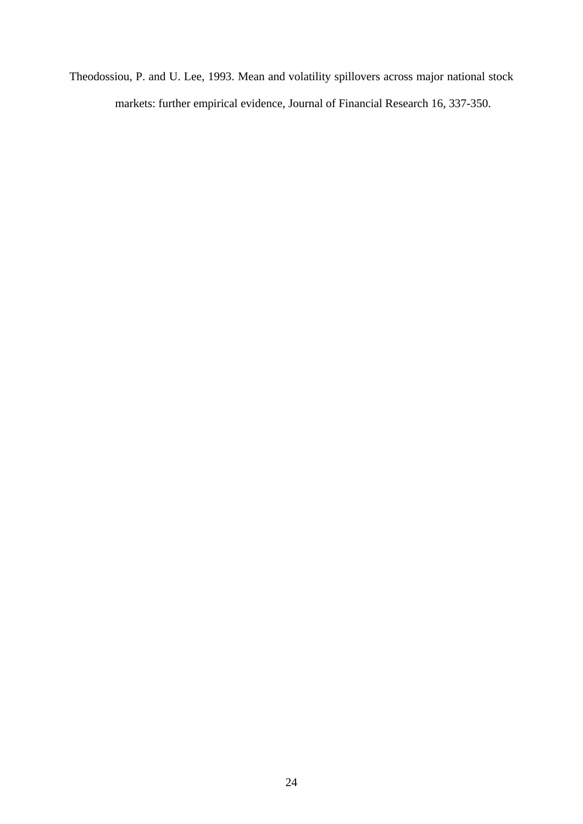Theodossiou, P. and U. Lee, 1993. Mean and volatility spillovers across major national stock markets: further empirical evidence, Journal of Financial Research 16, 337-350.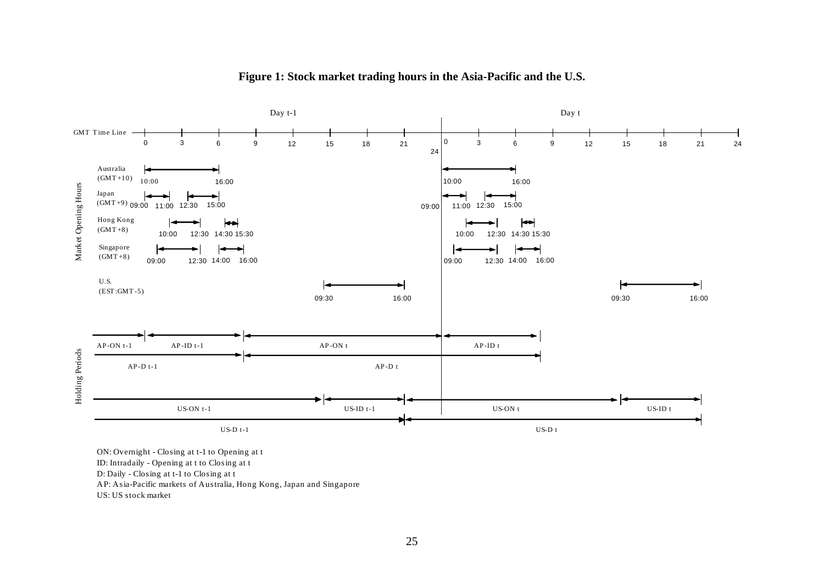

**Figure 1: Stock market trading hours in the Asia-Pacific and the U.S.** 

ON: Overnight - Closing at t-1 to Opening at t

ID: Intradaily - Opening at t to Closing at t

D: Daily - Closing at t-1 to Closing at t

AP: Asia-Pacific markets of Australia, Hong Kong, Japan and Singapore

US: US stock market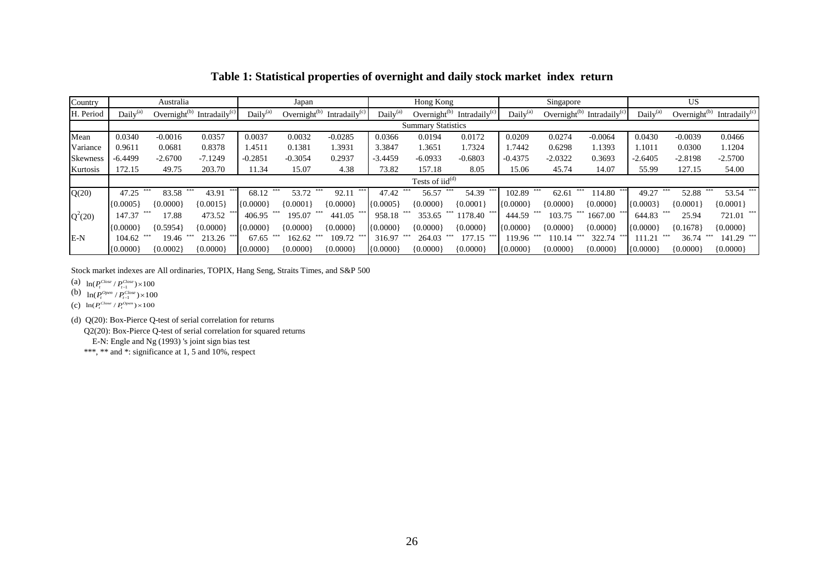| Country         | Australia                 |              |                                                    | Japan          |                    |                     |                      | Hong Kong                     |                  |                      | Singapore          |                  |                      | <b>US</b>          |                  |  |
|-----------------|---------------------------|--------------|----------------------------------------------------|----------------|--------------------|---------------------|----------------------|-------------------------------|------------------|----------------------|--------------------|------------------|----------------------|--------------------|------------------|--|
| H. Period       | Daily <sup>(a)</sup>      |              | Overnight <sup>(b)</sup> Intradaily <sup>(c)</sup> | Daily $^{(a)}$ | Overnight $^{(b)}$ | Intradaily $^{(c)}$ | Daily <sup>(a)</sup> | Overnight $^{(b)}$            | Intradaily $(c)$ | Daily <sup>(a)</sup> | Overnight $^{(b)}$ | Intradaily $(c)$ | Daily <sup>(a)</sup> | Overnight $^{(b)}$ | Intradaily $(c)$ |  |
|                 | <b>Summary Statistics</b> |              |                                                    |                |                    |                     |                      |                               |                  |                      |                    |                  |                      |                    |                  |  |
| Mean            | 0.0340                    | $-0.0016$    | 0.0357                                             | 0.0037         | 0.0032             | $-0.0285$           | 0.0366               | 0.0194                        | 0.0172           | 0.0209               | 0.0274             | $-0.0064$        | 0.0430               | $-0.0039$          | 0.0466           |  |
| Variance        | 0.9611                    | 0.0681       | 0.8378                                             | 1.4511         | 0.1381             | .3931               | 3.3847               | 1.3651                        | 1.7324           | .7442                | 0.6298             | 1.1393           | 1.1011               | 0.0300             | 1.1204           |  |
| <b>Skewness</b> | $-6.4499$                 | $-2.6700$    | $-7.1249$                                          | $-0.2851$      | $-0.3054$          | 0.2937              | $-3.4459$            | $-6.0933$                     | $-0.6803$        | $-0.4375$            | $-2.0322$          | 0.3693           | $-2.6405$            | $-2.8198$          | $-2.5700$        |  |
| Kurtosis        | 172.15                    | 49.75        | 203.70                                             | 11.34          | 15.07              | 4.38                | 73.82                | 157.18                        | 8.05             | 15.06                | 45.74              | 14.07            | 55.99                | 127.15             | 54.00            |  |
|                 |                           |              |                                                    |                |                    |                     |                      | Tests of $iid$ <sup>(d)</sup> |                  |                      |                    |                  |                      |                    |                  |  |
| Q(20)           | 47.25                     | ***<br>83.58 | 43.91                                              | 68.12          | ***<br>53.72       | 92.1 <sub>1</sub>   | 47.42                | 56.57                         | 54.39            | 102.89               | 62.61              | 114.80           | 49.27                | 52.88              | 53.54            |  |
|                 | (0.0005)                  | ${0.0000}$   | ${0.0015}$                                         | ${0.0000}$     | ${0.0001}$         | ${0.0000}$          | $\{0.0005\}$         | ${0.0000}$                    | ${0.0001}$       | ${0.0000}$           | ${0.0000}$         | ${0.0000}$       | ${0.0003}$           | ${0.0001}$         | ${0.0001}$       |  |
| $Q^2(20)$       | 147.37                    | 17.88        | 473.52                                             | 406.95         | 195.07             | 441.05              | 958.18               | 353.65                        | 1178.40          | 444.59               | 103.75             | 1667.00          | 644.83               | 25.94              | 721.01           |  |
|                 | (0.0000)                  | ${0.5954}$   | ${0.0000}$                                         | ${0.0000}$     | ${0.0000}$         | ${0.0000}$          | (0.0000)             | ${0.0000}$                    | ${0.0000}$       | ${0.0000}$           | ${0.0000}$         | ${0.0000}$       | ${0.0000}$           | ${0.1678}$         | ${0.0000}$       |  |
| E-N             | 104.62                    | 19.46        | 213.26                                             | 67.65          | 162.62             | 109.72              | 316.97               | 264.03                        | 177.15           | 119.96               | 10.14              | 322.74           | 111.21               | 36.74              | 141.29           |  |
|                 | (0.0000)                  | ${0.0002}$   | ${0.0000}$                                         | (0.0000)       | ${0.0000}$         | ${0.0000}$          | ${0.0000}$           | ${0.0000}$                    | ${0.0000}$       | (0.0000)             | ${0.0000}$         | ${0.0000}$       | ${0.0000}$           | ${0.0000}$         | ${0.0000}$       |  |

### **Table 1: Statistical properties of overnight and daily stock market index return**

Stock market indexes are All ordinaries, TOPIX, Hang Seng, Straits Times, and S&P 500

(a)  $\ln (P_t^{Close} / P_{t-1}^{Close}) \times 100$ 

(b)  $\ln (P_t^{Open} / P_{t-1}^{Close}) \times 100$ 

(c)  $\ln (P_t^{Close} / P_t^{Open}) \times 100$ 

(d) Q(20): Box-Pierce Q-test of serial correlation for returns

Q2(20): Box-Pierce Q-test of serial correlation for squared returns

E-N: Engle and Ng (1993) 's joint sign bias test

\*\*\*, \*\* and \*: significance at 1, 5 and 10%, respect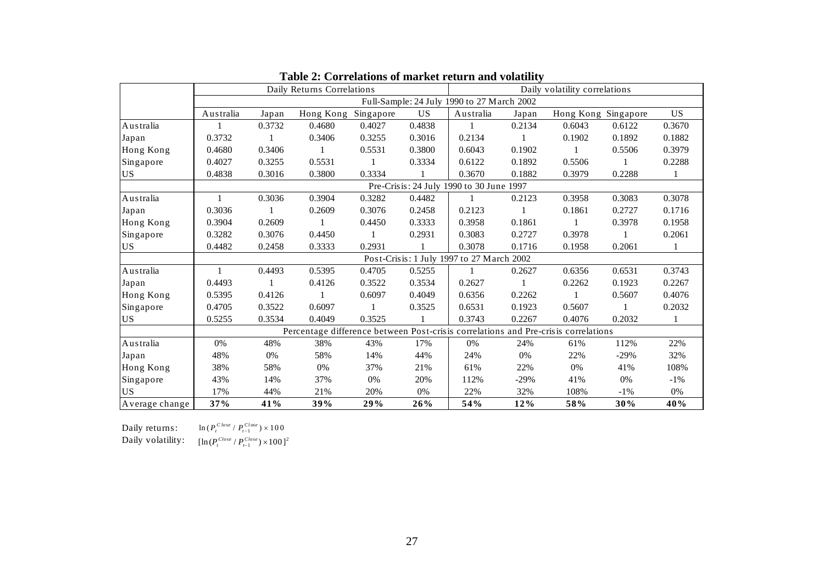|                                          |           |        | Daily Returns Correlations                                                         |        |           | Daily volatility correlations              |        |                     |        |        |  |  |
|------------------------------------------|-----------|--------|------------------------------------------------------------------------------------|--------|-----------|--------------------------------------------|--------|---------------------|--------|--------|--|--|
|                                          |           |        |                                                                                    |        |           | Full-Sample: 24 July 1990 to 27 March 2002 |        |                     |        |        |  |  |
|                                          | Australia | Japan  | Hong Kong Singapore                                                                |        | <b>US</b> | Australia                                  | Japan  | Hong Kong Singapore |        | US     |  |  |
| Australia                                |           | 0.3732 | 0.4680                                                                             | 0.4027 | 0.4838    | $\mathbf{1}$                               | 0.2134 | 0.6043              | 0.6122 | 0.3670 |  |  |
| Japan                                    | 0.3732    |        | 0.3406                                                                             | 0.3255 | 0.3016    | 0.2134                                     |        | 0.1902              | 0.1892 | 0.1882 |  |  |
| Hong Kong                                | 0.4680    | 0.3406 |                                                                                    | 0.5531 | 0.3800    | 0.6043                                     | 0.1902 | -1                  | 0.5506 | 0.3979 |  |  |
| Singapore                                | 0.4027    | 0.3255 | 0.5531                                                                             |        | 0.3334    | 0.6122                                     | 0.1892 | 0.5506              |        | 0.2288 |  |  |
| <b>US</b>                                | 0.4838    | 0.3016 | 0.3800                                                                             | 0.3334 |           | 0.3670                                     | 0.1882 | 0.3979              | 0.2288 | 1      |  |  |
| Pre-Crisis: 24 July 1990 to 30 June 1997 |           |        |                                                                                    |        |           |                                            |        |                     |        |        |  |  |
| Australia                                | 1         | 0.3036 | 0.3904                                                                             | 0.3282 | 0.4482    | 1                                          | 0.2123 | 0.3958              | 0.3083 | 0.3078 |  |  |
| Japan                                    | 0.3036    |        | 0.2609                                                                             | 0.3076 | 0.2458    | 0.2123                                     |        | 0.1861              | 0.2727 | 0.1716 |  |  |
| Hong Kong                                | 0.3904    | 0.2609 |                                                                                    | 0.4450 | 0.3333    | 0.3958                                     | 0.1861 | 1                   | 0.3978 | 0.1958 |  |  |
| Singapore                                | 0.3282    | 0.3076 | 0.4450                                                                             |        | 0.2931    | 0.3083                                     | 0.2727 | 0.3978              |        | 0.2061 |  |  |
| US                                       | 0.4482    | 0.2458 | 0.3333                                                                             | 0.2931 |           | 0.3078                                     | 0.1716 | 0.1958              | 0.2061 | 1      |  |  |
|                                          |           |        |                                                                                    |        |           | Post-Crisis: 1 July 1997 to 27 March 2002  |        |                     |        |        |  |  |
| Australia                                |           | 0.4493 | 0.5395                                                                             | 0.4705 | 0.5255    | 1                                          | 0.2627 | 0.6356              | 0.6531 | 0.3743 |  |  |
| Japan                                    | 0.4493    | 1      | 0.4126                                                                             | 0.3522 | 0.3534    | 0.2627                                     | 1      | 0.2262              | 0.1923 | 0.2267 |  |  |
| Hong Kong                                | 0.5395    | 0.4126 |                                                                                    | 0.6097 | 0.4049    | 0.6356                                     | 0.2262 | $\mathbf{1}$        | 0.5607 | 0.4076 |  |  |
| Singapore                                | 0.4705    | 0.3522 | 0.6097                                                                             |        | 0.3525    | 0.6531                                     | 0.1923 | 0.5607              |        | 0.2032 |  |  |
| <b>US</b>                                | 0.5255    | 0.3534 | 0.4049                                                                             | 0.3525 |           | 0.3743                                     | 0.2267 | 0.4076              | 0.2032 | 1      |  |  |
|                                          |           |        | Percentage difference between Post-crisis correlations and Pre-crisis correlations |        |           |                                            |        |                     |        |        |  |  |
| Australia                                | 0%        | 48%    | 38%                                                                                | 43%    | 17%       | 0%                                         | 24%    | 61%                 | 112%   | 22%    |  |  |
| Japan                                    | 48%       | 0%     | 58%                                                                                | 14%    | 44%       | 24%                                        | 0%     | 22%                 | $-29%$ | 32%    |  |  |
| Hong Kong                                | 38%       | 58%    | 0%                                                                                 | 37%    | 21%       | 61%                                        | 22%    | 0%                  | 41%    | 108%   |  |  |
| Singapore                                | 43%       | 14%    | 37%                                                                                | 0%     | 20%       | 112%                                       | $-29%$ | 41%                 | 0%     | $-1\%$ |  |  |
| <b>US</b>                                | 17%       | 44%    | 21%                                                                                | 20%    | 0%        | 22%                                        | 32%    | 108%                | $-1\%$ | $0\%$  |  |  |
| Average change                           | 37%       | 41%    | 39%                                                                                | 29%    | 26%       | 54%                                        | 12%    | 58%                 | 30%    | 40%    |  |  |

| Table 2: Correlations of market return and volatility |  |  |
|-------------------------------------------------------|--|--|
|                                                       |  |  |

Daily returns:  $\text{Daily returns:} \qquad \ln(P_t^{Close} / P_{t-1}^{Close}) \times 100$ <br>  $\text{Daily volatility:} \qquad \text{[In} (P_t^{Close} / P_{test}^{Close}) \times 100$ 

 $[\ln (P_t^{Close} / P_{t-1}^{Close}) \times 100]^2$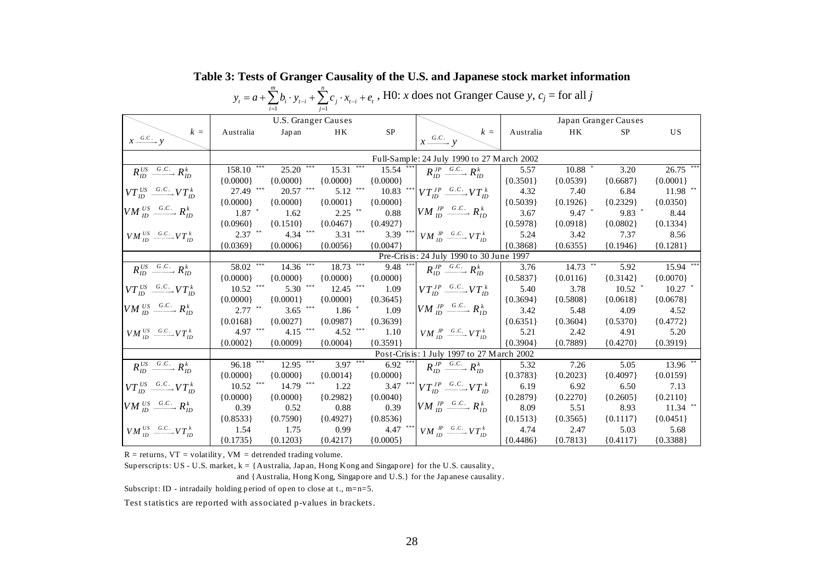|                                                                |                         |                                         |                        |             | $y_t = a + \sum b_i \cdot y_{t-i} + \sum c_i \cdot x_{t-i} + e_t$ , H0: x does not Granger Cause y, $c_i$ = for all j |            |            |                      |             |
|----------------------------------------------------------------|-------------------------|-----------------------------------------|------------------------|-------------|-----------------------------------------------------------------------------------------------------------------------|------------|------------|----------------------|-------------|
|                                                                |                         | U.S. Granger Causes                     |                        |             |                                                                                                                       |            |            | Japan Granger Causes |             |
| $k =$                                                          | Australia               | Jap an                                  | HK                     | <b>SP</b>   | $k =$                                                                                                                 | Australia  | HK         | <b>SP</b>            | <b>US</b>   |
| $x \xrightarrow{G.C.} y$                                       |                         |                                         |                        |             | $x \xrightarrow{G.C.} y$                                                                                              |            |            |                      |             |
|                                                                |                         |                                         |                        |             | Full-Sample: 24 July 1990 to 27 March 2002                                                                            |            |            |                      |             |
| $R_{ID}^{US} \xrightarrow{G.C.} R_{ID}^{k}$                    | $158.10$ <sup>***</sup> | $25.20$ ***                             | $15.31$ <sup>***</sup> | $15.54$ *** | $R_{ID}^{JP} \xrightarrow{G.C.} R_{ID}^{k}$                                                                           | 5.57       | 10.88      | 3.20                 | $26.75$ *** |
|                                                                | ${0.0000}$              | ${0.0000}$                              | ${0.0000}$             | ${0.0000}$  |                                                                                                                       | ${0.3501}$ | ${0.0539}$ | ${0.6687}$           | ${0.0001}$  |
| $VT_{ID}^{US} \xrightarrow{G.C.} VT_{ID}^k$                    | 27.49 ***               | $20.57$ $\hspace{0.1cm}^{\ast\ast\ast}$ | $5.12$ ***             | 10.83       | *** $VT_{ID}^{JP} \xrightarrow{G.C.} VT_{ID}^{k}$                                                                     | 4.32       | 7.40       | 6.84                 | $11.98$ **  |
|                                                                | ${0.0000}$              | ${0.0000}$                              | ${0.0001}$             | ${0.0000}$  |                                                                                                                       | ${0.5039}$ | ${0.1926}$ | ${0.2329}$           | ${0.0350}$  |
| $VM^{US}_{ID} \xrightarrow{G.C.} R_{ID}^{k}$                   | $1.87$ *                | 1.62                                    | $2.25$ **              | 0.88        | $VM$ $^{JP}_{ID} \xrightarrow{G.C.} R_{ID}^{k}$                                                                       | 3.67       | $9.47$ *   | $9.83$ *             | 8.44        |
|                                                                | ${0.0960}$              | ${0.1510}$                              | ${0.0467}$             | ${0.4927}$  |                                                                                                                       | ${0.5978}$ | ${0.0918}$ | ${0.0802}$           | ${0.1334}$  |
| $VM_{ID}^{US} \xrightarrow{G.C.} VT_{ID}^k$                    | $2.37$ **               | $4.34$ ***                              | 3.31 ***               |             | 3.39 *** $VM_{ID} \xrightarrow{JP} \xrightarrow{G.C.} VT_{ID}^k$                                                      | 5.24       | 3.42       | 7.37                 | 8.56        |
|                                                                | ${0.0369}$              | ${0.0006}$                              | ${0.0056}$             | ${0.0047}$  |                                                                                                                       | ${0.3868}$ | ${0.6355}$ | ${0.1946}$           | ${0.1281}$  |
|                                                                |                         |                                         |                        |             | Pre-Crisis: 24 July 1990 to 30 June 1997                                                                              |            |            |                      |             |
| $R_{ID}^{US} \xrightarrow{G.C.} R_{ID}^{k}$                    | $58.02$ ***             | $14.36$ <sup>***</sup>                  | $18.73***$             | 9.48        | $R_{ID}^{JP} \xrightarrow{G.C.} R_{ID}^{k}$                                                                           | 3.76       | $14.73$ ** | 5.92                 | 15.94 ***   |
|                                                                | ${0.0000}$              | ${0.0000}$                              | ${0.0000}$             | ${0.0000}$  |                                                                                                                       | ${0.5837}$ | ${0.0116}$ | ${0.3142}$           | ${0.0070}$  |
| $VT_{ID}^{US} \xrightarrow{G.C.} VT_{ID}^k$                    | $10.52$ ***             | $5.30$ ***                              | $12.45$ ***            | 1.09        | $VT_{ID}^{JP} \xrightarrow{G.C.} VT_{ID}^k$                                                                           | 5.40       | 3.78       | $10.52$ *            | $10.27$ *   |
|                                                                | ${0.0000}$              | ${0.0001}$                              | ${0.0000}$             | ${0.3645}$  |                                                                                                                       | ${0.3694}$ | ${0.5808}$ | ${0.0618}$           | ${0.0678}$  |
| $VM$ <sup>US</sup> <sub>ID</sub> $\xrightarrow{G.C.} R_{ID}^k$ | $2.77$ **               | $3.65$ ***                              | $1.86$ *               | 1.09        | $VM$ $^{JP}_{ID} \xrightarrow{G.C.} R_{ID}^{k}$                                                                       | 3.42       | 5.48       | 4.09                 | 4.52        |
|                                                                | ${0.0168}$              | ${0.0027}$                              | ${0.0987}$             | ${0.3639}$  |                                                                                                                       | ${0.6351}$ | ${0.3604}$ | ${0.5370}$           | ${0.4772}$  |
| $VM^{US}_{ID} \xrightarrow{G.C.} VT^{k}_{ID}$                  | 4.97 ***                | $4.15$ ***                              | $4.52$ ***             | 1.10        | $VM$ <sup>IP</sup> <sub>ID</sub> <sup>G.C.</sup> $VT_{ID}^k$                                                          | 5.21       | 2.42       | 4.91                 | 5.20        |
|                                                                | ${0.0002}$              | ${0.0009}$                              | ${0.0004}$             | ${0.3591}$  |                                                                                                                       | ${0.3904}$ | ${0.7889}$ | ${0.4270}$           | ${0.3919}$  |
|                                                                |                         |                                         |                        |             | Post-Crisis: 1 July 1997 to 27 March 2002                                                                             |            |            |                      |             |
| $R_{ID}^{US} \xrightarrow{G.C.} R_{ID}^{k}$                    | $96.18$ ***             | $12.95$ ***                             | $3.97***$              | $6.92$ ***  | $R_{ID}^{JP} \xrightarrow{G.C.} R_{ID}^{k}$                                                                           | 5.32       | 7.26       | 5.05                 | $13.96$ **  |
|                                                                | ${0.0000}$              | ${0.0000}$                              | ${0.0014}$             | ${0.0000}$  |                                                                                                                       | ${0.3783}$ | ${0.2023}$ | ${0.4097}$           | ${0.0159}$  |
| $VT_{ID}^{US} \xrightarrow{G.C.} VT_{ID}^k$                    | 10.52                   | 14.79 ***                               | 1.22                   | 3.47        | *** $VT_{ID}^{JP} \xrightarrow{G.C.} VT_{ID}^{k}$                                                                     | 6.19       | 6.92       | 6.50                 | 7.13        |
|                                                                | ${0.0000}$              | ${0.0000}$                              | ${0.2982}$             | ${0.0040}$  |                                                                                                                       | ${0.2879}$ | ${0.2270}$ | ${0.2605}$           | ${0.2110}$  |
| $VM^{US}_{ID} \xrightarrow{G.C.} R_{ID}^{k}$                   | 0.39                    | 0.52                                    | 0.88                   | 0.39        | $VM$ $^{JP}_{ID} \xrightarrow{G.C.} R^{k}_{ID}$                                                                       | 8.09       | 5.51       | 8.93                 | $11.34$ **  |
|                                                                | ${0.8533}$              | ${0.7590}$                              | ${0.4927}$             | ${0.8536}$  |                                                                                                                       | ${0.1513}$ | ${0.3565}$ | ${0.1117}$           | ${0.0451}$  |
| $VM_{ID}^{US} \xrightarrow{G.C.} VT_{ID}^k$                    | 1.54                    | 1.75                                    | 0.99                   |             | 4.47 *** $VM_{ID} \xrightarrow{JP} \xrightarrow{G.C.} VT_{ID}^k$                                                      | 4.74       | 2.47       | 5.03                 | 5.68        |
|                                                                | ${0.1735}$              | ${0.1203}$                              | ${0.4217}$             | ${0.0005}$  |                                                                                                                       | ${0.4486}$ | ${0.7813}$ | ${0.4117}$           | ${0.3388}$  |

**Table 3: Tests of Granger Causality of the U.S. and Japanese stock market information** 

 $R =$  returns,  $VT =$  volatility,  $VM =$  detrended trading volume.

Sup erscripts: US - U.S. market,  $k = \{$  Australia, Japan, Hong Kong and Singap ore} for the U.S. causality,

*m n*

and {Australia, Hong Kong, Singap ore and U.S.} for the Jap anese causality .

Subscript: ID - intradaily holding period of open to close at t.,  $m=n=5$ .

Test statistics are reported with associated p-values in brackets.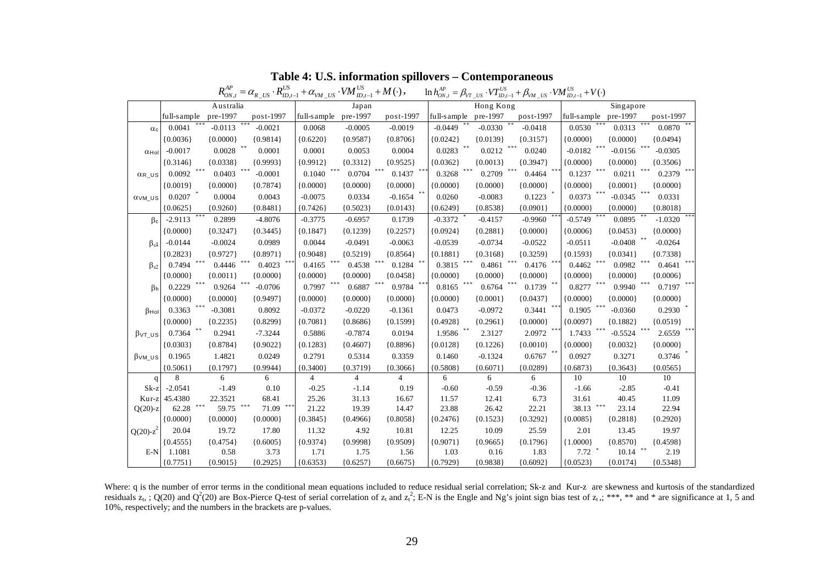|                                                |             |            | $R_{ON,t}^{AP} = \alpha_{R\_US} \cdot R_{ID,t-1}^{US} + \alpha_{VM\_US} \cdot VM_{ID,t-1}^{US} + M(\cdot)$ , |                |            |            |             |            | $\ln h_{ON,t}^{AP} = \beta_{VT\_US} \cdot VT_{ID,t-1}^{US} + \beta_{VM\_US} \cdot VM_{ID,t-1}^{US} + V(\cdot)$ |             |            |             |
|------------------------------------------------|-------------|------------|--------------------------------------------------------------------------------------------------------------|----------------|------------|------------|-------------|------------|----------------------------------------------------------------------------------------------------------------|-------------|------------|-------------|
|                                                |             | Australia  |                                                                                                              | Japan          |            |            |             | Hong Kong  |                                                                                                                |             | Singapore  |             |
|                                                | full-sample | pre-1997   | post-1997                                                                                                    | full-sample    | pre-1997   | post-1997  | full-sample | pre-1997   | post-1997                                                                                                      | full-sample | pre-1997   | $post-1997$ |
| $\alpha_c$                                     | 0.0041      | $-0.0113$  | $-0.0021$                                                                                                    | 0.0068         | $-0.0005$  | $-0.0019$  | $-0.0449$   | $-0.0330$  | $-0.0418$                                                                                                      | 0.0530      | 0.0313     | 0.0870      |
|                                                | ${0.0036}$  | ${0.0000}$ | ${0.9814}$                                                                                                   | 0.6220         | ${0.9587}$ | ${0.8706}$ | ${0.0242}$  | ${0.0139}$ | ${0.3157}$                                                                                                     | ${0.0000}$  | ${0.0000}$ | ${0.0494}$  |
| $\alpha$ Hol                                   | $-0.0017$   | 0.0028     | 米米<br>0.0001                                                                                                 | 0.0001         | 0.0053     | 0.0004     | 0.0283      | 0.0212     | 0.0240                                                                                                         | $-0.0182$   | $-0.0156$  | $-0.0305$   |
|                                                | ${0.3146}$  | ${0.0338}$ | ${0.9993}$                                                                                                   | ${0.9912}$     | ${0.3312}$ | ${0.9525}$ | ${0.0362}$  | ${0.0013}$ | ${0.3947}$                                                                                                     | ${0.0000}$  | ${0.0000}$ | ${0.3506}$  |
| $\alpha$ <sub>R</sub> $\upsilon$ <sub>S</sub>  | 0.0092      | 0.0403     | $-0.0001$                                                                                                    | 0.1040         | 0.0704     | 0.1437     | 0.3268      | 0.2709     | 0.4464                                                                                                         | 0.1237      | 0.0211     | 0.2379      |
|                                                | ${0.0019}$  | ${0.0000}$ | ${0.7874}$                                                                                                   | ${0.0000}$     | ${0.0000}$ | ${0.0000}$ | ${0.0000}$  | ${0.0000}$ | ${0.0000}$                                                                                                     | ${0.0000}$  | ${0.0001}$ | ${0.0000}$  |
| $\alpha$ <sub>VM</sub> $\upsilon$ <sub>S</sub> | 0.0207      | 0.0004     | 0.0043                                                                                                       | $-0.0075$      | 0.0334     | $-0.1654$  | 0.0260      | $-0.0083$  | 0.1223                                                                                                         | 0.0373      | $-0.0345$  | 0.0331      |
|                                                | ${0.0625}$  | ${0.9260}$ | ${0.8481}$                                                                                                   | ${0.7426}$     | ${0.5023}$ | ${0.0143}$ | ${0.6249}$  | ${0.8538}$ | ${0.0901}$                                                                                                     | ${0.0000}$  | ${0.0000}$ | ${0.8018}$  |
| $\beta_c$                                      | $-2.9113$   | 0.2899     | $-4.8076$                                                                                                    | $-0.3775$      | $-0.6957$  | 0.1739     | $-0.3372$   | $-0.4157$  | $-0.9960$                                                                                                      | $-0.5749$   | 0.0895     | $-1.0320$   |
|                                                | ${0.0000}$  | ${0.3247}$ | ${0.3445}$                                                                                                   | ${0.1847}$     | ${0.1239}$ | ${0.2257}$ | ${0.0924}$  | ${0.2881}$ | ${0.0000}$                                                                                                     | ${0.0006}$  | ${0.0453}$ | ${0.0000}$  |
| $\beta_{\varepsilon}$ 1                        | $-0.0144$   | $-0.0024$  | 0.0989                                                                                                       | 0.0044         | $-0.0491$  | $-0.0063$  | $-0.0539$   | $-0.0734$  | $-0.0522$                                                                                                      | $-0.0511$   | $-0.0408$  | $-0.0264$   |
|                                                | ${0.2823}$  | ${0.9727}$ | ${0.8971}$                                                                                                   | ${0.9048}$     | ${0.5219}$ | ${0.8564}$ | ${0.1881}$  | ${0.3168}$ | ${0.3259}$                                                                                                     | ${0.1593}$  | ${0.0341}$ | ${0.7338}$  |
| $\beta_{52}$                                   | 0.7494      | 0.4446     | 0.4023                                                                                                       | 0.4165         | 0.4538     | 0.1284     | 0.3815      | 0.4861     | 0.4176                                                                                                         | 0.4462      | 0.0982     | 0.4641      |
|                                                | ${0.0000}$  | ${0.0011}$ | ${0.0000}$                                                                                                   | ${0.0000}$     | ${0.0000}$ | {0.0458}   | ${0.0000}$  | ${0.0000}$ | ${0.0000}$                                                                                                     | ${0.0000}$  | ${0.0000}$ | ${0.0006}$  |
| $\beta h$                                      | 0.2229      | 0.9264     | $-0.0706$                                                                                                    | 0.7997         | 0.6887     | 0.9784     | 0.8165      | 0.6764     | 0.1739                                                                                                         | 0.8277      | 0.9940     | 0.7197      |
|                                                | ${0.0000}$  | ${0.0000}$ | ${0.9497}$                                                                                                   | ${0.0000}$     | ${0.0000}$ | ${0.0000}$ | ${0.0000}$  | ${0.0001}$ | ${0.0437}$                                                                                                     | ${0.0000}$  | ${0.0000}$ | ${0.0000}$  |
| $\beta$ Hol                                    | 0.3363      | $-0.3081$  | 0.8092                                                                                                       | $-0.0372$      | $-0.0220$  | $-0.1361$  | 0.0473      | $-0.0972$  | 0.3441                                                                                                         | 0.1905      | $-0.0360$  | 0.2930      |
|                                                | ${0.0000}$  | ${0.2235}$ | ${0.8299}$                                                                                                   | ${0.7081}$     | ${0.8686}$ | ${0.1599}$ | ${0.4928}$  | ${0.2961}$ | ${0.0000}$                                                                                                     | ${0.0097}$  | ${0.1882}$ | ${0.0519}$  |
| $\beta$ vt_us                                  | 0.7364      | 0.2941     | $-7.3244$                                                                                                    | 0.5886         | $-0.7874$  | 0.0194     | 1.9586      | 2.3127     | 2.0972                                                                                                         | 1.7433      | $-0.5524$  | 2.6559      |
|                                                | ${0.0303}$  | ${0.8784}$ | ${0.9022}$                                                                                                   | ${0.1283}$     | ${0.4607}$ | ${0.8896}$ | ${0.0128}$  | ${0.1226}$ | ${0.0010}$                                                                                                     | ${0.0000}$  | ${0.0032}$ | ${0.0000}$  |
| $\beta$ vm_us                                  | 0.1965      | 1.4821     | 0.0249                                                                                                       | 0.2791         | 0.5314     | 0.3359     | 0.1460      | $-0.1324$  | 0.6767                                                                                                         | 0.0927      | 0.3271     | 0.3746      |
|                                                | ${0.5061}$  | ${0.1797}$ | ${0.9944}$                                                                                                   | ${0.3400}$     | ${0.3719}$ | ${0.3066}$ | ${0.5808}$  | ${0.6071}$ | ${0.0289}$                                                                                                     | ${0.6873}$  | ${0.3643}$ | ${0.0565}$  |
| $\mathbf q$                                    | 8           | 6          | 6                                                                                                            | $\overline{4}$ | 4          | 4          | 6           | 6          | 6                                                                                                              | 10          | 10         | 10          |
| $Sk-z$                                         | $-2.0541$   | $-1.49$    | 0.10                                                                                                         | $-0.25$        | $-1.14$    | 0.19       | $-0.60$     | $-0.59$    | $-0.36$                                                                                                        | $-1.66$     | $-2.85$    | $-0.41$     |
| Kur-z                                          | 45.4380     | 22.3521    | 68.41                                                                                                        | 25.26          | 31.13      | 16.67      | 11.57       | 12.41      | 6.73                                                                                                           | 31.61       | 40.45      | 11.09       |
| $O(20)$ -z                                     | 62.28       | 59.75      | $\pm\pm$<br>71.09                                                                                            | 21.22          | 19.39      | 14.47      | 23.88       | 26.42      | 22.21                                                                                                          | 38.13       | 23.14      | 22.94       |
|                                                | ${0.0000}$  | ${0.0000}$ | ${0.0000}$                                                                                                   | ${0.3845}$     | ${0.4966}$ | ${0.8058}$ | ${0.2476}$  | ${0.1523}$ | ${0.3292}$                                                                                                     | ${0.0085}$  | ${0.2818}$ | ${0.2920}$  |
| $Q(20)$ -z <sup>2</sup>                        | 20.04       | 19.72      | 17.80                                                                                                        | 11.32          | 4.92       | 10.81      | 12.25       | 10.09      | 25.59                                                                                                          | 2.01        | 13.45      | 19.97       |
|                                                | ${0.4555}$  | ${0.4754}$ | ${0.6005}$                                                                                                   | ${0.9374}$     | ${0.9998}$ | ${0.9509}$ | ${0.9071}$  | ${0.9665}$ | ${0.1796}$                                                                                                     | ${1.0000}$  | ${0.8570}$ | ${0.4598}$  |
| $E-N$                                          | 1.1081      | 0.58       | 3.73                                                                                                         | 1.71           | 1.75       | 1.56       | 1.03        | 0.16       | 1.83                                                                                                           | 7.72        | 10.14      | 2.19        |
|                                                | ${0.7751}$  | ${0.9015}$ | ${0.2925}$                                                                                                   | ${0.6353}$     | ${0.6257}$ | ${0.6675}$ | ${0.7929}$  | ${0.9838}$ | ${0.6092}$                                                                                                     | ${0.0523}$  | ${0.0174}$ | ${0.5348}$  |

**Table 4: U.S. information spillovers – Contemporaneous** 

Where: q is the number of error terms in the conditional mean equations included to reduce residual serial correlation; Sk-z and Kur-z are skewness and kurtosis of the standardized residuals  $z_1$ , ; Q(20) and Q<sup>2</sup>(20) are Box-Pierce Q-test of serial correlation of  $z_1$  and  $z_1^2$ ; E-N is the Engle and Ng's joint sign bias test of  $z_1$ ,; \*\*\*, \*\* and \* are significance at 1, 5 and 10%, respectively; and the numbers in the brackets are p-values.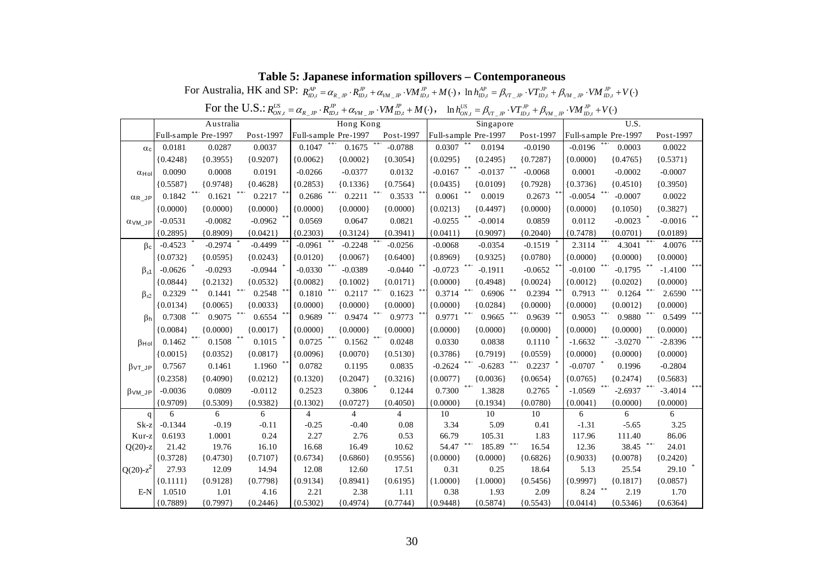|                         |                      |                      | For the U.S.: $R_{ON,t}^{US}$ |                    |                      | $=\alpha_{R\_JP}\cdot R_{ID,t}^{JP}+\alpha_{VM\_JP}\cdot VM_{ID,t}^{JP}+M(\cdot),\quad \ln h_{ON,t}^{US}=\beta_{VT\_JP}\cdot VT_{ID,t}^{JP}+\beta_{VM\_JP}\cdot VM_{ID,t}^{JP}+V(\cdot)$ |                    |                      |                    |                    |                      |                    |
|-------------------------|----------------------|----------------------|-------------------------------|--------------------|----------------------|------------------------------------------------------------------------------------------------------------------------------------------------------------------------------------------|--------------------|----------------------|--------------------|--------------------|----------------------|--------------------|
|                         |                      | Australia            |                               |                    | Hong Kong            |                                                                                                                                                                                          |                    | Singapore            |                    |                    | U.S.                 |                    |
|                         |                      | Full-sample Pre-1997 | Post-1997                     |                    | Full-sample Pre-1997 | Post-1997                                                                                                                                                                                |                    | Full-sample Pre-1997 | Post-1997          |                    | Full-sample Pre-1997 | Post-1997          |
| $\alpha_c$              | 0.0181               | 0.0287               | 0.0037                        | 0.1047             | 0.1675               | $-0.0788$                                                                                                                                                                                | 0.0307             | 0.0194               | $-0.0190$          | $-0.0196$          | 0.0003               | 0.0022             |
|                         | ${0.4248}$           | ${0.3955}$           | ${0.9207}$                    | ${0.0062}$         | ${0.0002}$           | ${0.3054}$                                                                                                                                                                               | ${0.0295}$         | ${0.2495}$           | ${0.7287}$         | ${0.0000}$         | ${0.4765}$           | ${0.5371}$         |
| $\alpha$ Hol            | 0.0090               | 0.0008               | 0.0191                        | $-0.0266$          | $-0.0377$            | 0.0132                                                                                                                                                                                   | $-0.0167$          | $-0.0137$            | $-0.0068$          | 0.0001             | $-0.0002$            | $-0.0007$          |
|                         | ${0.5587}$           | ${0.9748}$           | ${0.4628}$                    | ${0.2853}$         | ${0.1336}$           | ${0.7564}$                                                                                                                                                                               | ${0.0435}$         | ${0.0109}$           | ${0.7928}$         | ${0.3736}$         | ${0.4510}$           | ${0.3950}$         |
| $\alpha$ R JP           | 0.1842               | 0.1621               | 0.2217                        | 0.2686             | 0.2211               | 0.3533                                                                                                                                                                                   | 0.0061             | 0.0019               | 0.2673             | $-0.0054$          | $-0.0007$            | 0.0022             |
|                         | ${0.0000}$           | ${0.0000}$           | ${0.0000}$                    | ${0.0000}$         | ${0.0000}$           | ${0.0000}$                                                                                                                                                                               | ${0.0213}$         | ${0.4497}$           | ${0.0000}$         | ${0.0000}$         | ${0.1050}$           | ${0.3827}$         |
| <b>OVM JP</b>           | $-0.0531$            | $-0.0082$            | $-0.0962$                     | 0.0569             | 0.0647               | 0.0821                                                                                                                                                                                   | $-0.0255$          | $-0.0014$            | 0.0859             | 0.0112             | $-0.0023$            | $-0.0016$          |
|                         | ${0.2895}$           | ${0.8909}$           | ${0.0421}$                    | ${0.2303}$         | ${0.3124}$           | ${0.3941}$                                                                                                                                                                               | ${0.0411}$         | ${0.9097}$           | ${0.2040}$         | ${0.7478}$         | ${0.0701}$           | ${0.0189}$         |
| $\beta$ c               | $-0.4523$            | $-0.2974$            | $-0.4499$                     | $-0.0961$          | $-0.2248$            | $-0.0256$                                                                                                                                                                                | $-0.0068$          | $-0.0354$            | $-0.1519$          | 2.3114             | 4.3041               | 4.0076             |
|                         | ${0.0732}$           | ${0.0595}$           | ${0.0243}$                    | ${0.0120}$         | ${0.0067}$           | ${0.6400}$                                                                                                                                                                               | ${0.8969}$         | ${0.9325}$           | ${0.0780}$         | ${0.0000}$         | ${0.0000}$           | ${0.0000}$         |
| $\beta_{\epsilon}$ 1    | $-0.0626$            | $-0.0293$            | $-0.0944$                     | $-0.0330$          | $-0.0389$            | $-0.0440$                                                                                                                                                                                | $-0.0723$          | $-0.1911$            | $-0.0652$          | $-0.0100$          | $-0.1795$            | $-1.4100$          |
|                         | ${0.0844}$           | ${0.2132}$           | ${0.0532}$                    | ${0.0082}$         | ${0.1002}$           | ${0.0171}$                                                                                                                                                                               | ${0.0000}$         | ${0.4948}$           | ${0.0024}$         | ${0.0012}$         | ${0.0202}$           | ${0.0000}$         |
| $\beta_{\epsilon2}$     | 0.2329               | 0.1441               | 0.2548                        | 0.1810             | 0.2117               | 0.1623                                                                                                                                                                                   | 0.3714             | 0.6906               | 0.2394             | 0.7913             | 0.1264               | 2.6590             |
|                         | ${0.0134}$           | ${0.0065}$           | ${0.0033}$                    | ${0.0000}$         | ${0.0000}$           | ${0.0000}$                                                                                                                                                                               | ${0.0000}$         | ${0.0284}$           | ${0.0000}$         | ${0.0000}$         | ${0.0012}$           | ${0.0000}$         |
| $\beta h$               | 0.7308               | 0.9075               | 0.6554                        | 0.9689             | 0.9474               | 0.9773                                                                                                                                                                                   | 0.9771             | 0.9665               | 0.9639             | 0.9053             | 0.9880               | 0.5499             |
|                         | ${0.0084}$           | ${0.0000}$           | ${0.0017}$                    | ${0.0000}$         | ${0.0000}$           | ${0.0000}$                                                                                                                                                                               | ${0.0000}$         | ${0.0000}$           | ${0.0000}$         | ${0.0000}$         | ${0.0000}$           | ${0.0000}$         |
| $\beta$ Hol             | 0.1462               | 0.1508               | 0.1015                        | 0.0725             | 0.1562               | 0.0248                                                                                                                                                                                   | 0.0330             | 0.0838               | 0.1110             | $-1.6632$          | $-3.0270$            | $-2.8396$          |
|                         | ${0.0015}$           | ${0.0352}$           | ${0.0817}$                    | ${0.0096}$         | ${0.0070}$           | ${0.5130}$                                                                                                                                                                               | ${0.3786}$         | ${0.7919}$           | ${0.0559}$         | ${0.0000}$         | ${0.0000}$           | ${0.0000}$         |
| $\beta$ VT_JP           | 0.7567               | 0.1461               | 1.1960                        | 0.0782             | 0.1195               | 0.0835                                                                                                                                                                                   | $-0.2624$          | $-0.6283$            | 0.2237             | $-0.0707$          | 0.1996               | $-0.2804$          |
|                         | ${0.2358}$           | ${0.4090}$           | ${0.0212}$                    | ${0.1320}$         | ${0.2047}$           | ${0.3216}$                                                                                                                                                                               | ${0.0077}$         | ${0.0036}$           | ${0.0654}$         | ${0.0765}$         | ${0.2474}$           | ${0.5683}$         |
| $\beta$ VM_JP           | $-0.0036$            | 0.0809               | $-0.0112$                     | 0.2523             | 0.3806               | 0.1244                                                                                                                                                                                   | 0.7300             | 1.3828               | 0.2765             | $-1.0569$          | $-2.6937$            | $-3.4014$          |
|                         | ${0.9709}$           | ${0.5309}$           | ${0.9382}$                    | ${0.1302}$         | ${0.0727}$           | ${0.4050}$                                                                                                                                                                               | ${0.0000}$         | ${0.1934}$           | ${0.0780}$         | ${0.0041}$         | ${0.0000}$           | ${0.0000}$         |
| $\mathbf{q}$            | 6                    | 6                    | 6                             | 4                  | 4                    | 4                                                                                                                                                                                        | 10                 | 10                   | 10                 | 6                  | 6                    | 6                  |
| $Sk-z$                  | $-0.1344$            | $-0.19$              | $-0.11$                       | $-0.25$            | $-0.40$              | 0.08                                                                                                                                                                                     | 3.34               | 5.09                 | 0.41               | $-1.31$            | $-5.65$              | 3.25               |
| Kur-z                   | 0.6193               | 1.0001               | 0.24                          | 2.27               | 2.76                 | 0.53                                                                                                                                                                                     | 66.79              | 105.31               | 1.83               | 117.96             | 111.40               | 86.06              |
| $Q(20)$ -z              | 21.42                | 19.76                | 16.10                         | 16.68              | 16.49                | 10.62                                                                                                                                                                                    | 54.47              | 185.89               | 16.54              | 12.36              | 38.45                | 24.01              |
|                         | ${0.3728}$           | ${0.4730}$           | ${0.7107}$                    | ${0.6734}$         | ${0.6860}$           | ${0.9556}$                                                                                                                                                                               | ${0.0000}$         | ${0.0000}$           | ${0.6826}$         | ${0.9033}$         | ${0.0078}$           | ${0.2420}$         |
| $Q(20)$ -z <sup>2</sup> | 27.93                | 12.09                | 14.94                         | 12.08              | 12.60                | 17.51                                                                                                                                                                                    | 0.31               | 0.25                 | 18.64              | 5.13               | 25.54                | 29.10              |
| $E-N$                   | ${0.1111}$<br>1.0510 | ${0.9128}$           | ${0.7798}$                    | ${0.9134}$         | ${0.8941}$           | ${0.6195}$                                                                                                                                                                               | ${1.0000}$         | ${1.0000}$           | ${0.5456}$<br>2.09 | ${0.9997}$<br>8.24 | ${0.1817}$           | ${0.0857}$         |
|                         | ${0.7889}$           | 1.01<br>${0.7997}$   | 4.16<br>${0.2446}$            | 2.21<br>${0.5302}$ | 2.38<br>${0.4974}$   | 1.11<br>${0.7744}$                                                                                                                                                                       | 0.38<br>${0.9448}$ | 1.93<br>${0.5874}$   | ${0.5543}$         | ${0.0414}$         | 2.19<br>${0.5346}$   | 1.70<br>${0.6364}$ |
|                         |                      |                      |                               |                    |                      |                                                                                                                                                                                          |                    |                      |                    |                    |                      |                    |

## **Table 5: Japanese information spillovers – Contemporaneous**  For Australia, HK and SP:  $R_{m}^{AP} = \alpha_{R} P_{m} \cdot R_{m}^{IP} + \alpha_{VM} P_{m} \cdot VM_{m,t}^{IP} + M(\cdot)$ ,  $\ln h_{m,t}^{AP} = \beta_{VT} P_{m} \cdot VT_{m,t}^{IP} + \beta_{VM} P_{m} \cdot VM_{m,t}^{IP} + V(\cdot)$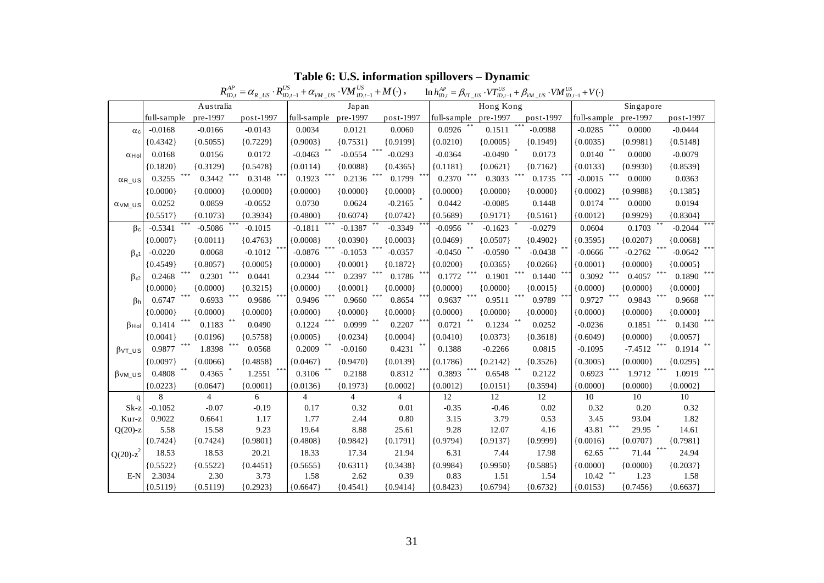|                          | $R^{AP}_{ID,t}$<br>$= \alpha_{R_{U}} R_{ID,t-1}^{US} + \alpha_{VM_{U}} R_{ID,t-1}^{US} + M(\cdot)$ ,<br>$\ln h_{ID,i}^{AP} = \beta_{VT\_US} \cdot VT_{ID,i-1}^{US} + \beta_{VM\_US} \cdot VM_{ID,i-1}^{US} + V(\cdot)$ |                |               |                |                       |                      |              |            |                 |                     |            |                   |  |
|--------------------------|------------------------------------------------------------------------------------------------------------------------------------------------------------------------------------------------------------------------|----------------|---------------|----------------|-----------------------|----------------------|--------------|------------|-----------------|---------------------|------------|-------------------|--|
|                          |                                                                                                                                                                                                                        | Australia      |               | Japan          |                       |                      |              | Hong Kong  |                 |                     | Singapore  |                   |  |
|                          | full-sample                                                                                                                                                                                                            | pre-1997       | post-1997     |                | full-sample pre-1997  | post-1997            | full-s ample | pre-1997   | $post-1997$     | full-s ample        | pre-1997   | post-1997         |  |
| $\alpha$ <sub>c</sub>    | $-0.0168$                                                                                                                                                                                                              | $-0.0166$      | $-0.0143$     | 0.0034         | 0.0121                | 0.0060               | 0.0926       | 0.1511     | $-0.0988$       | $-0.0285$           | 0.0000     | $-0.0444$         |  |
|                          | ${0.4342}$                                                                                                                                                                                                             | ${0.5055}$     | ${0.7229}$    | ${0.9003}$     | ${0.7531}$            | ${0.9199}$           | ${0.0210}$   | ${0.0005}$ | ${0.1949}$      | ${0.0035}$          | ${0.9981}$ | ${0.5148}$        |  |
| $\alpha$ Hol             | 0.0168                                                                                                                                                                                                                 | 0.0156         | 0.0172        | $-0.0463$      | $-0.0554$             | $***$<br>$-0.0293$   | $-0.0364$    | $-0.0490$  | 0.0173          | 0.0140              | 0.0000     | $-0.0079$         |  |
|                          | ${0.1820}$                                                                                                                                                                                                             | ${0.3129}$     | ${0.5478}$    | ${0.0114}$     | ${0.0088}$            | ${0.4365}$           | ${0.1181}$   | ${0.0621}$ | ${0.7162}$      | ${0.0133}$          | ${0.9930}$ | ${0.8539}$        |  |
| $\alpha_{R\_US}$         | 0.3255                                                                                                                                                                                                                 | 0.3442         | 0.3148        | 0.1923         | $***$<br>0.2136       | 0.1799               | 0.2370       | 0.3033     | 0.1735          | $-0.0015$           | 0.0000     | 0.0363            |  |
|                          | ${0.0000}$                                                                                                                                                                                                             | ${0.0000}$     | ${0.0000}$    | ${0.0000}$     | ${0.0000}$            | ${0.0000}$           | ${0.0000}$   | ${0.0000}$ | ${0.0000}$      | ${0.0002}$          | ${0.9988}$ | ${0.1385}$        |  |
| $\alpha$ vm $\upsilon$ s | 0.0252                                                                                                                                                                                                                 | 0.0859         | $-0.0652$     | 0.0730         | 0.0624                | $-0.2165$            | 0.0442       | $-0.0085$  | 0.1448          | 0.0174              | 0.0000     | 0.0194            |  |
|                          | ${0.5517}$                                                                                                                                                                                                             | ${0.1073}$     | ${0.3934}$    | ${0.4800}$     | ${0.6074}$            | ${0.0742}$           | ${0.5689}$   | ${0.9171}$ | ${0.5161}$      | ${0.0012}$          | ${0.9929}$ | ${0.8304}$        |  |
| $\beta_c$                | $-0.5341$                                                                                                                                                                                                              | $-0.5086$      | $-0.1015$     | $-0.1811$      | $***$ \$<br>$-0.1387$ | $-0.3349$            | $-0.0956$    | $-0.1623$  | $-0.0279$       | 0.0604              | 0.1703     | $-0.2044$         |  |
|                          | ${0.0007}$                                                                                                                                                                                                             | ${0.0011}$     | ${0.4763}$    | ${0.0008}$     | ${0.0390}$            | ${0.0003}$           | ${0.0469}$   | ${0.0507}$ | ${0.4902}$      | ${0.3595}$          | ${0.0207}$ | ${0.0068}$        |  |
| $\beta_{\epsilon}$ 1     | $-0.0220$                                                                                                                                                                                                              | 0.0068         | $-0.1012$     | $-0.0876$      | $-0.1053$             | $-0.0357$            | $-0.0450$    | $-0.0590$  | $-0.0438$       | $-0.0666$           | $-0.2762$  | $-0.0642$         |  |
|                          | ${0.4549}$                                                                                                                                                                                                             | ${0.8057}$     | ${0.0005}$    | ${0.0000}$     | ${0.0001}$            | ${0.1872}$           | ${0.0200}$   | ${0.0365}$ | ${0.0266}$      | ${0.0001}$          | ${0.0000}$ | ${0.0005}$        |  |
| $\beta_{\epsilon2}$      | 0.2468                                                                                                                                                                                                                 | 0.2301         | 0.0441        | 0.2344         | $***$<br>0.2397       | 0.1786               | 0.1772       | 0.1901     | 0.1440          | 0.3092              | 0.4057     | 0.1890            |  |
|                          | ${0.0000}$                                                                                                                                                                                                             | ${0.0000}$     | ${0.3215}$    | ${0.0000}$     | ${0.0001}$            | ${0.0000}$           | ${0.0000}$   | ${0.0000}$ | ${0.0015}$      | ${0.0000}$          | ${0.0000}$ | ${0.0000}$        |  |
| B <sub>h</sub>           | $***$<br>0.6747                                                                                                                                                                                                        | 0.6933         | ***<br>0.9686 | 0.9496         | ***<br>0.9660         | $***$<br>0.8654      | 0.9637       | 0.9511     | $***$<br>0.9789 | 0.9727              | 0.9843     | $* * *$<br>0.9668 |  |
|                          | ${0.0000}$                                                                                                                                                                                                             | ${0.0000}$     | ${0.0000}$    | ${0.0000}$     | ${0.0000}$            | ${0.0000}$           | 0.0000       | ${0.0000}$ | ${0.0000}$      | ${0.0000}$          | ${0.0000}$ | ${0.0000}$        |  |
| $\beta$ Hol              | $\ast \ast \ast$<br>0.1414                                                                                                                                                                                             | 0.1183         | 0.0490        | 0.1224         | ***<br>0.0999         | $\ast\ast$<br>0.2207 | 0.0721       | 0.1234     | 0.0252          | $-0.0236$           | 0.1851     | 0.1430            |  |
|                          | ${0.0041}$                                                                                                                                                                                                             | ${0.0196}$     | ${0.5758}$    | ${0.0005}$     | ${0.0234}$            | ${0.0004}$           | ${0.0410}$   | ${0.0373}$ | ${0.3618}$      | ${0.6049}$          | ${0.0000}$ | ${0.0057}$        |  |
| $\beta$ vt_us            | ***<br>0.9877                                                                                                                                                                                                          | 1.8398         | ***<br>0.0568 | 0.2009         | $-0.0160$             | 0.4231               | 0.1388       | $-0.2266$  | 0.0815          | $-0.1095$           | $-7.4512$  | $0.1914$ **       |  |
|                          | ${0.0097}$                                                                                                                                                                                                             | ${0.0066}$     | ${0.4858}$    | ${0.0467}$     | ${0.9470}$            | ${0.0139}$           | ${0.1786}$   | ${0.2142}$ | ${0.3526}$      | ${0.3005}$          | ${0.0000}$ | ${0.0295}$        |  |
| $\beta$ vm_us            | 0.4808                                                                                                                                                                                                                 | 0.4365         | 1.2551        | 0.3106         | 0.2188                | 0.8312               | 0.3893       | 0.6548     | 0.2122          | 0.6923              | 1.9712     | 1.0919            |  |
|                          | ${0.0223}$                                                                                                                                                                                                             | ${0.0647}$     | ${0.0001}$    | ${0.0136}$     | ${0.1973}$            | ${0.0002}$           | ${0.0012}$   | ${0.0151}$ | ${0.3594}$      | ${0.0000}$          | ${0.0000}$ | ${0.0002}$        |  |
| $\mathbf q$              | 8                                                                                                                                                                                                                      | $\overline{4}$ | 6             | $\overline{4}$ | $\overline{4}$        | $\overline{4}$       | 12           | 12         | 12              | 10                  | 10         | 10                |  |
| $Sk-z$                   | $-0.1052$                                                                                                                                                                                                              | $-0.07$        | $-0.19$       | 0.17           | 0.32                  | 0.01                 | $-0.35$      | $-0.46$    | 0.02            | 0.32                | 0.20       | 0.32              |  |
| Kur-z                    | 0.9022                                                                                                                                                                                                                 | 0.6641         | 1.17          | 1.77           | 2.44                  | 0.80                 | 3.15         | 3.79       | 0.53            | 3.45                | 93.04      | 1.82              |  |
| $Q(20)$ -z               | 5.58                                                                                                                                                                                                                   | 15.58          | 9.23          | 19.64          | 8.88                  | 25.61                | 9.28         | 12.07      | 4.16            | ***<br>43.81        | 29.95 *    | 14.61             |  |
|                          | ${0.7424}$                                                                                                                                                                                                             | ${0.7424}$     | ${0.9801}$    | ${0.4808}$     | ${0.9842}$            | ${0.1791}$           | ${0.9794}$   | ${0.9137}$ | ${0.9999}$      | ${0.0016}$<br>***   | ${0.0707}$ | ${0.7981}$<br>*** |  |
| Q(20)- $z^2$             | 18.53                                                                                                                                                                                                                  | 18.53          | 20.21         | 18.33          | 17.34                 | 21.94                | 6.31         | 7.44       | 17.98           | 62.65               | 71.44      | 24.94             |  |
|                          | ${0.5522}$                                                                                                                                                                                                             | ${0.5522}$     | ${0.4451}$    | ${0.5655}$     | ${0.6311}$            | ${0.3438}$           | ${0.9984}$   | ${0.9950}$ | ${0.5885}$      | ${0.0000}$<br>$***$ | ${0.0000}$ | ${0.2037}$        |  |
| $E-N$                    | 2.3034                                                                                                                                                                                                                 | 2.30           | 3.73          | 1.58           | 2.62                  | 0.39                 | 0.83         | 1.51       | 1.54            | 10.42               | 1.23       | 1.58              |  |
|                          | ${0.5119}$                                                                                                                                                                                                             | ${0.5119}$     | ${0.2923}$    | ${0.6647}$     | ${0.4541}$            | ${0.9414}$           | ${0.8423}$   | ${0.6794}$ | ${0.6732}$      | ${0.0153}$          | ${0.7456}$ | ${0.6637}$        |  |

#### **Table 6: U.S. information spillovers – Dynamic**